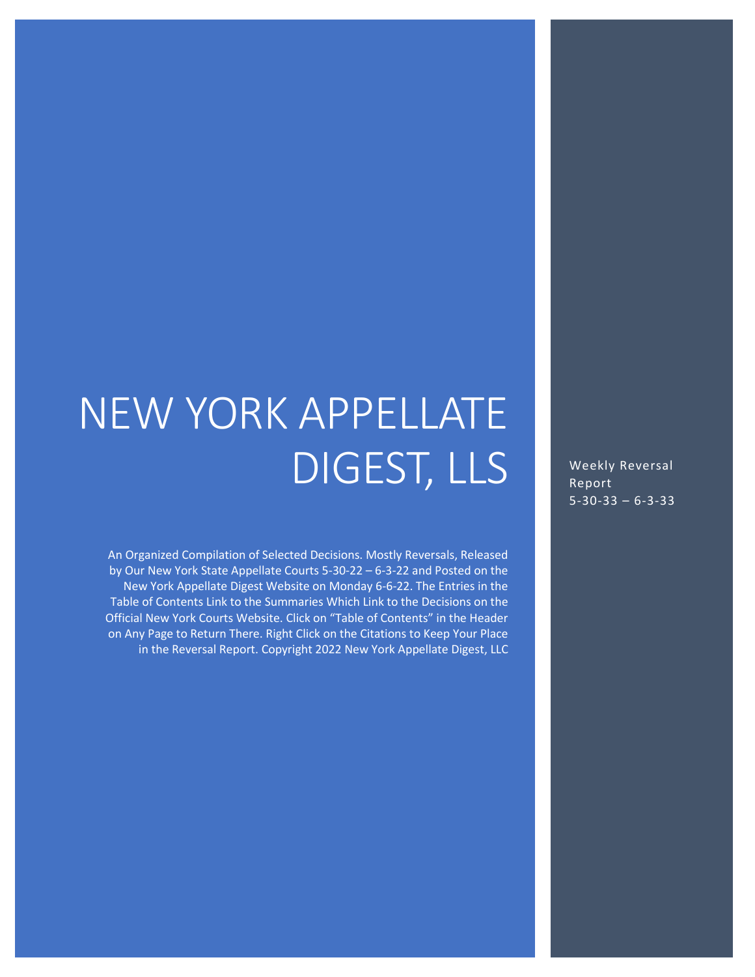# NEW YORK APPELLATE DIGEST, LLS

An Organized Compilation of Selected Decisions. Mostly Reversals, Released by Our New York State Appellate Courts 5-30-22 – 6-3-22 and Posted on the New York Appellate Digest Website on Monday 6-6-22. The Entries in the Table of Contents Link to the Summaries Which Link to the Decisions on the Official New York Courts Website. Click on "Table of Contents" in the Header on Any Page to Return There. Right Click on the Citations to Keep Your Place in the Reversal Report. Copyright 2022 New York Appellate Digest, LLC

Weekly Reversal Report 5-30-33 – 6-3-33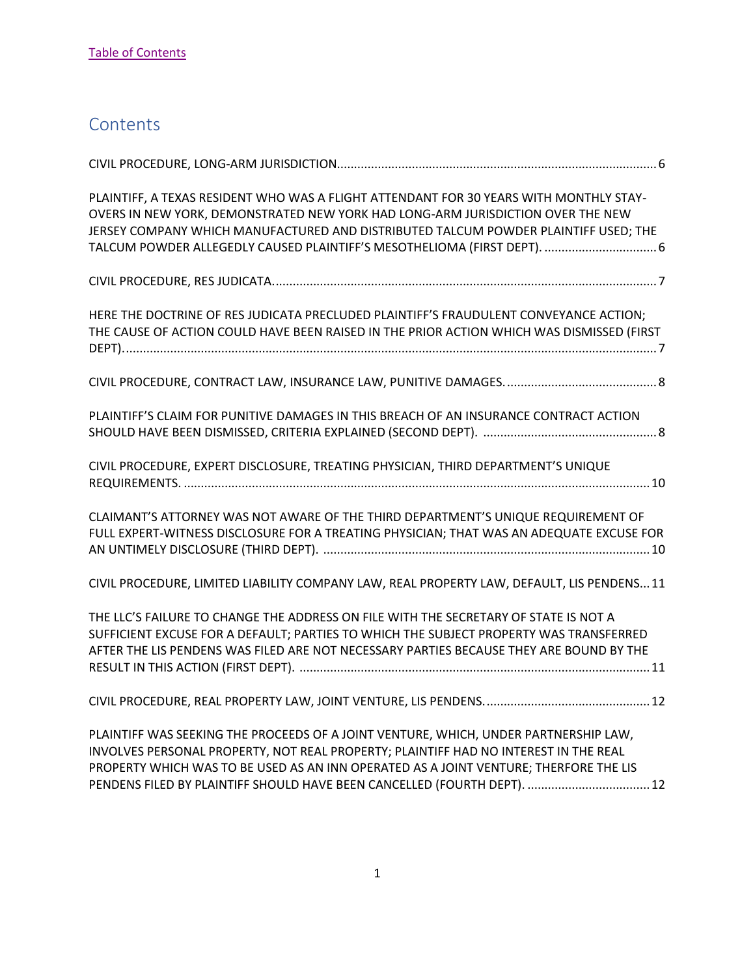# <span id="page-1-0"></span>**Contents**

| PLAINTIFF, A TEXAS RESIDENT WHO WAS A FLIGHT ATTENDANT FOR 30 YEARS WITH MONTHLY STAY-<br>OVERS IN NEW YORK, DEMONSTRATED NEW YORK HAD LONG-ARM JURISDICTION OVER THE NEW<br>JERSEY COMPANY WHICH MANUFACTURED AND DISTRIBUTED TALCUM POWDER PLAINTIFF USED; THE<br>TALCUM POWDER ALLEGEDLY CAUSED PLAINTIFF'S MESOTHELIOMA (FIRST DEPT).  6      |
|---------------------------------------------------------------------------------------------------------------------------------------------------------------------------------------------------------------------------------------------------------------------------------------------------------------------------------------------------|
|                                                                                                                                                                                                                                                                                                                                                   |
| HERE THE DOCTRINE OF RES JUDICATA PRECLUDED PLAINTIFF'S FRAUDULENT CONVEYANCE ACTION;<br>THE CAUSE OF ACTION COULD HAVE BEEN RAISED IN THE PRIOR ACTION WHICH WAS DISMISSED (FIRST                                                                                                                                                                |
|                                                                                                                                                                                                                                                                                                                                                   |
| PLAINTIFF'S CLAIM FOR PUNITIVE DAMAGES IN THIS BREACH OF AN INSURANCE CONTRACT ACTION                                                                                                                                                                                                                                                             |
| CIVIL PROCEDURE, EXPERT DISCLOSURE, TREATING PHYSICIAN, THIRD DEPARTMENT'S UNIQUE                                                                                                                                                                                                                                                                 |
| CLAIMANT'S ATTORNEY WAS NOT AWARE OF THE THIRD DEPARTMENT'S UNIQUE REQUIREMENT OF<br>FULL EXPERT-WITNESS DISCLOSURE FOR A TREATING PHYSICIAN; THAT WAS AN ADEQUATE EXCUSE FOR                                                                                                                                                                     |
| CIVIL PROCEDURE, LIMITED LIABILITY COMPANY LAW, REAL PROPERTY LAW, DEFAULT, LIS PENDENS 11                                                                                                                                                                                                                                                        |
| THE LLC'S FAILURE TO CHANGE THE ADDRESS ON FILE WITH THE SECRETARY OF STATE IS NOT A<br>SUFFICIENT EXCUSE FOR A DEFAULT; PARTIES TO WHICH THE SUBJECT PROPERTY WAS TRANSFERRED<br>AFTER THE LIS PENDENS WAS FILED ARE NOT NECESSARY PARTIES BECAUSE THEY ARE BOUND BY THE                                                                         |
|                                                                                                                                                                                                                                                                                                                                                   |
| PLAINTIFF WAS SEEKING THE PROCEEDS OF A JOINT VENTURE, WHICH, UNDER PARTNERSHIP LAW,<br>INVOLVES PERSONAL PROPERTY, NOT REAL PROPERTY; PLAINTIFF HAD NO INTEREST IN THE REAL<br>PROPERTY WHICH WAS TO BE USED AS AN INN OPERATED AS A JOINT VENTURE; THERFORE THE LIS<br>PENDENS FILED BY PLAINTIFF SHOULD HAVE BEEN CANCELLED (FOURTH DEPT).  12 |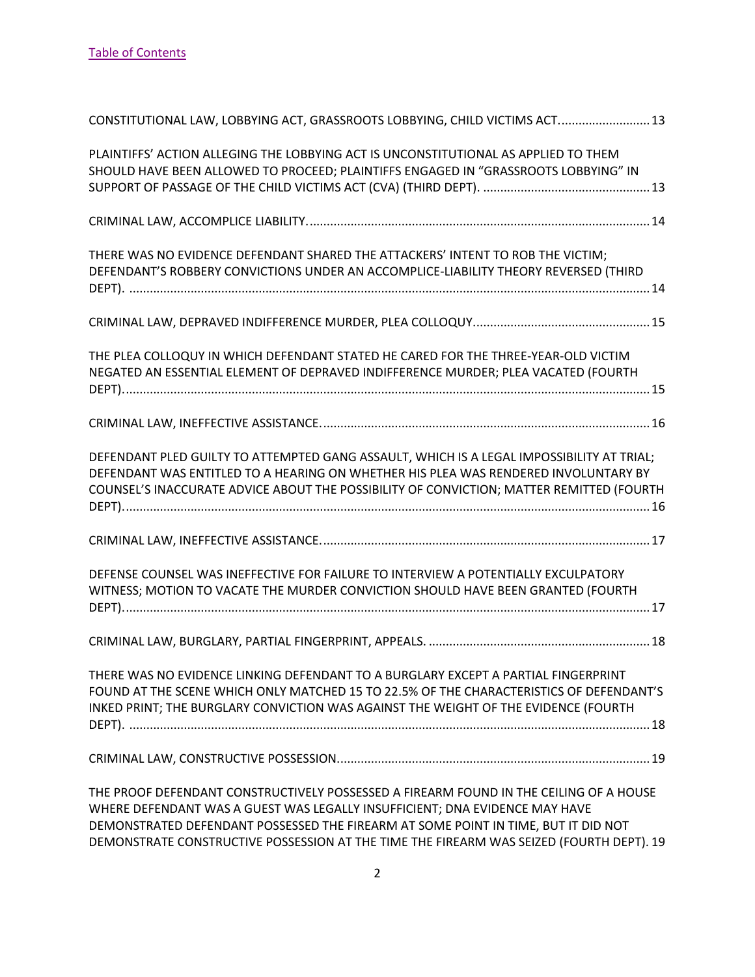| CONSTITUTIONAL LAW, LOBBYING ACT, GRASSROOTS LOBBYING, CHILD VICTIMS ACT 13                                                                                                                                                                                                                                                                             |
|---------------------------------------------------------------------------------------------------------------------------------------------------------------------------------------------------------------------------------------------------------------------------------------------------------------------------------------------------------|
| PLAINTIFFS' ACTION ALLEGING THE LOBBYING ACT IS UNCONSTITUTIONAL AS APPLIED TO THEM<br>SHOULD HAVE BEEN ALLOWED TO PROCEED; PLAINTIFFS ENGAGED IN "GRASSROOTS LOBBYING" IN                                                                                                                                                                              |
|                                                                                                                                                                                                                                                                                                                                                         |
| THERE WAS NO EVIDENCE DEFENDANT SHARED THE ATTACKERS' INTENT TO ROB THE VICTIM;<br>DEFENDANT'S ROBBERY CONVICTIONS UNDER AN ACCOMPLICE-LIABILITY THEORY REVERSED (THIRD                                                                                                                                                                                 |
|                                                                                                                                                                                                                                                                                                                                                         |
| THE PLEA COLLOQUY IN WHICH DEFENDANT STATED HE CARED FOR THE THREE-YEAR-OLD VICTIM<br>NEGATED AN ESSENTIAL ELEMENT OF DEPRAVED INDIFFERENCE MURDER; PLEA VACATED (FOURTH                                                                                                                                                                                |
|                                                                                                                                                                                                                                                                                                                                                         |
| DEFENDANT PLED GUILTY TO ATTEMPTED GANG ASSAULT, WHICH IS A LEGAL IMPOSSIBILITY AT TRIAL;<br>DEFENDANT WAS ENTITLED TO A HEARING ON WHETHER HIS PLEA WAS RENDERED INVOLUNTARY BY<br>COUNSEL'S INACCURATE ADVICE ABOUT THE POSSIBILITY OF CONVICTION; MATTER REMITTED (FOURTH                                                                            |
|                                                                                                                                                                                                                                                                                                                                                         |
| DEFENSE COUNSEL WAS INEFFECTIVE FOR FAILURE TO INTERVIEW A POTENTIALLY EXCULPATORY<br>WITNESS; MOTION TO VACATE THE MURDER CONVICTION SHOULD HAVE BEEN GRANTED (FOURTH                                                                                                                                                                                  |
|                                                                                                                                                                                                                                                                                                                                                         |
| THERE WAS NO EVIDENCE LINKING DEFENDANT TO A BURGLARY EXCEPT A PARTIAL FINGERPRINT<br>FOUND AT THE SCENE WHICH ONLY MATCHED 15 TO 22.5% OF THE CHARACTERISTICS OF DEFENDANT'S<br>INKED PRINT; THE BURGLARY CONVICTION WAS AGAINST THE WEIGHT OF THE EVIDENCE (FOURTH                                                                                    |
|                                                                                                                                                                                                                                                                                                                                                         |
| THE PROOF DEFENDANT CONSTRUCTIVELY POSSESSED A FIREARM FOUND IN THE CEILING OF A HOUSE<br>WHERE DEFENDANT WAS A GUEST WAS LEGALLY INSUFFICIENT; DNA EVIDENCE MAY HAVE<br>DEMONSTRATED DEFENDANT POSSESSED THE FIREARM AT SOME POINT IN TIME, BUT IT DID NOT<br>DEMONSTRATE CONSTRUCTIVE POSSESSION AT THE TIME THE FIREARM WAS SEIZED (FOURTH DEPT). 19 |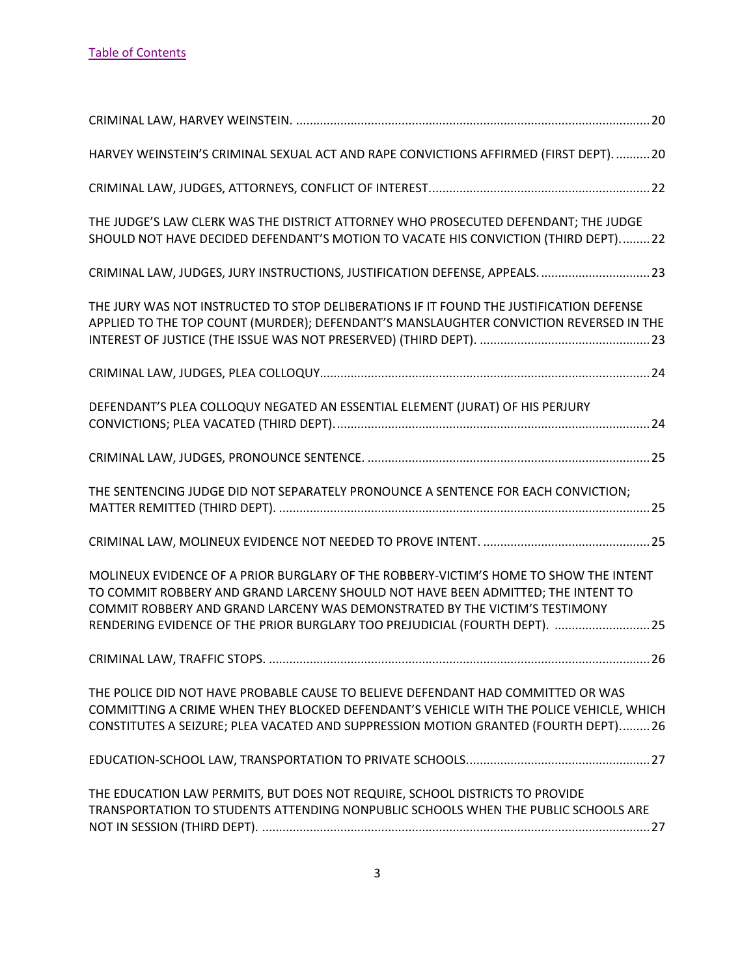| HARVEY WEINSTEIN'S CRIMINAL SEXUAL ACT AND RAPE CONVICTIONS AFFIRMED (FIRST DEPT).  20                                                                                                                                                                                                                                                  |
|-----------------------------------------------------------------------------------------------------------------------------------------------------------------------------------------------------------------------------------------------------------------------------------------------------------------------------------------|
|                                                                                                                                                                                                                                                                                                                                         |
| THE JUDGE'S LAW CLERK WAS THE DISTRICT ATTORNEY WHO PROSECUTED DEFENDANT; THE JUDGE<br>SHOULD NOT HAVE DECIDED DEFENDANT'S MOTION TO VACATE HIS CONVICTION (THIRD DEPT)22                                                                                                                                                               |
| CRIMINAL LAW, JUDGES, JURY INSTRUCTIONS, JUSTIFICATION DEFENSE, APPEALS.  23                                                                                                                                                                                                                                                            |
| THE JURY WAS NOT INSTRUCTED TO STOP DELIBERATIONS IF IT FOUND THE JUSTIFICATION DEFENSE<br>APPLIED TO THE TOP COUNT (MURDER); DEFENDANT'S MANSLAUGHTER CONVICTION REVERSED IN THE                                                                                                                                                       |
|                                                                                                                                                                                                                                                                                                                                         |
| DEFENDANT'S PLEA COLLOQUY NEGATED AN ESSENTIAL ELEMENT (JURAT) OF HIS PERJURY                                                                                                                                                                                                                                                           |
|                                                                                                                                                                                                                                                                                                                                         |
| THE SENTENCING JUDGE DID NOT SEPARATELY PRONOUNCE A SENTENCE FOR EACH CONVICTION;                                                                                                                                                                                                                                                       |
|                                                                                                                                                                                                                                                                                                                                         |
| MOLINEUX EVIDENCE OF A PRIOR BURGLARY OF THE ROBBERY-VICTIM'S HOME TO SHOW THE INTENT<br>TO COMMIT ROBBERY AND GRAND LARCENY SHOULD NOT HAVE BEEN ADMITTED; THE INTENT TO<br>COMMIT ROBBERY AND GRAND LARCENY WAS DEMONSTRATED BY THE VICTIM'S TESTIMONY<br>RENDERING EVIDENCE OF THE PRIOR BURGLARY TOO PREJUDICIAL (FOURTH DEPT).  25 |
|                                                                                                                                                                                                                                                                                                                                         |
| THE POLICE DID NOT HAVE PROBABLE CAUSE TO BELIEVE DEFENDANT HAD COMMITTED OR WAS<br>COMMITTING A CRIME WHEN THEY BLOCKED DEFENDANT'S VEHICLE WITH THE POLICE VEHICLE, WHICH<br>CONSTITUTES A SEIZURE; PLEA VACATED AND SUPPRESSION MOTION GRANTED (FOURTH DEPT) 26                                                                      |
|                                                                                                                                                                                                                                                                                                                                         |
| THE EDUCATION LAW PERMITS, BUT DOES NOT REQUIRE, SCHOOL DISTRICTS TO PROVIDE<br>TRANSPORTATION TO STUDENTS ATTENDING NONPUBLIC SCHOOLS WHEN THE PUBLIC SCHOOLS ARE                                                                                                                                                                      |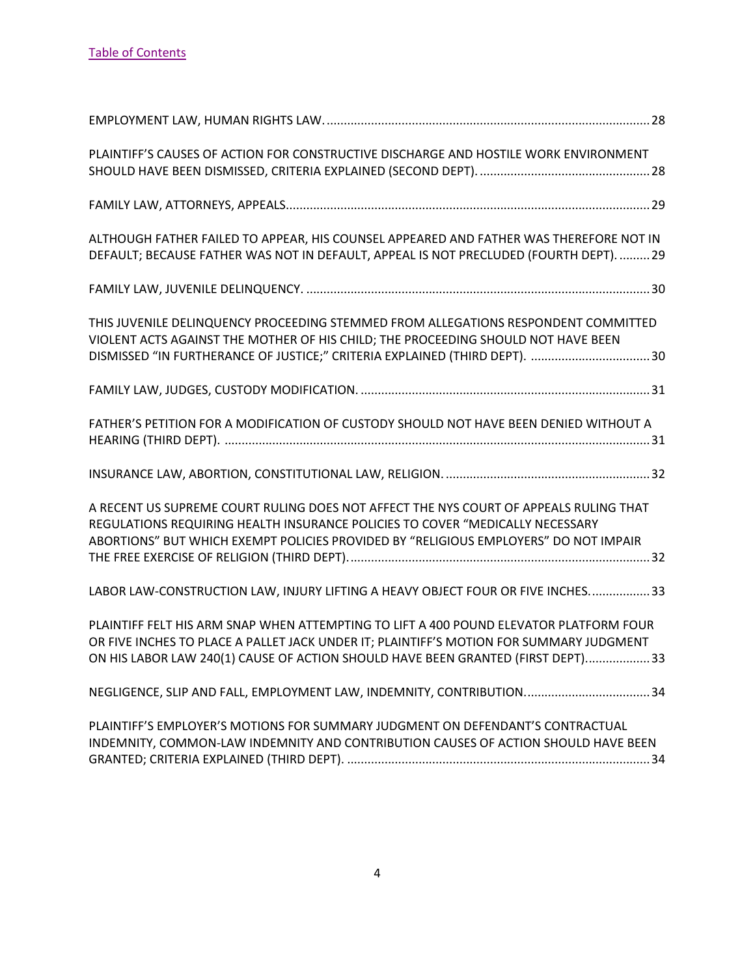| PLAINTIFF'S CAUSES OF ACTION FOR CONSTRUCTIVE DISCHARGE AND HOSTILE WORK ENVIRONMENT                                                                                                                                                                                 |
|----------------------------------------------------------------------------------------------------------------------------------------------------------------------------------------------------------------------------------------------------------------------|
|                                                                                                                                                                                                                                                                      |
| ALTHOUGH FATHER FAILED TO APPEAR, HIS COUNSEL APPEARED AND FATHER WAS THEREFORE NOT IN<br>DEFAULT; BECAUSE FATHER WAS NOT IN DEFAULT, APPEAL IS NOT PRECLUDED (FOURTH DEPT).  29                                                                                     |
|                                                                                                                                                                                                                                                                      |
| THIS JUVENILE DELINQUENCY PROCEEDING STEMMED FROM ALLEGATIONS RESPONDENT COMMITTED<br>VIOLENT ACTS AGAINST THE MOTHER OF HIS CHILD; THE PROCEEDING SHOULD NOT HAVE BEEN<br>DISMISSED "IN FURTHERANCE OF JUSTICE;" CRITERIA EXPLAINED (THIRD DEPT). 30                |
|                                                                                                                                                                                                                                                                      |
| FATHER'S PETITION FOR A MODIFICATION OF CUSTODY SHOULD NOT HAVE BEEN DENIED WITHOUT A                                                                                                                                                                                |
|                                                                                                                                                                                                                                                                      |
| A RECENT US SUPREME COURT RULING DOES NOT AFFECT THE NYS COURT OF APPEALS RULING THAT<br>REGULATIONS REQUIRING HEALTH INSURANCE POLICIES TO COVER "MEDICALLY NECESSARY<br>ABORTIONS" BUT WHICH EXEMPT POLICIES PROVIDED BY "RELIGIOUS EMPLOYERS" DO NOT IMPAIR       |
| LABOR LAW-CONSTRUCTION LAW, INJURY LIFTING A HEAVY OBJECT FOUR OR FIVE INCHES 33                                                                                                                                                                                     |
| PLAINTIFF FELT HIS ARM SNAP WHEN ATTEMPTING TO LIFT A 400 POUND ELEVATOR PLATFORM FOUR<br>OR FIVE INCHES TO PLACE A PALLET JACK UNDER IT; PLAINTIFF'S MOTION FOR SUMMARY JUDGMENT<br>ON HIS LABOR LAW 240(1) CAUSE OF ACTION SHOULD HAVE BEEN GRANTED (FIRST DEPT)33 |
| NEGLIGENCE, SLIP AND FALL, EMPLOYMENT LAW, INDEMNITY, CONTRIBUTION 34                                                                                                                                                                                                |
| PLAINTIFF'S EMPLOYER'S MOTIONS FOR SUMMARY JUDGMENT ON DEFENDANT'S CONTRACTUAL<br>INDEMNITY, COMMON-LAW INDEMNITY AND CONTRIBUTION CAUSES OF ACTION SHOULD HAVE BEEN                                                                                                 |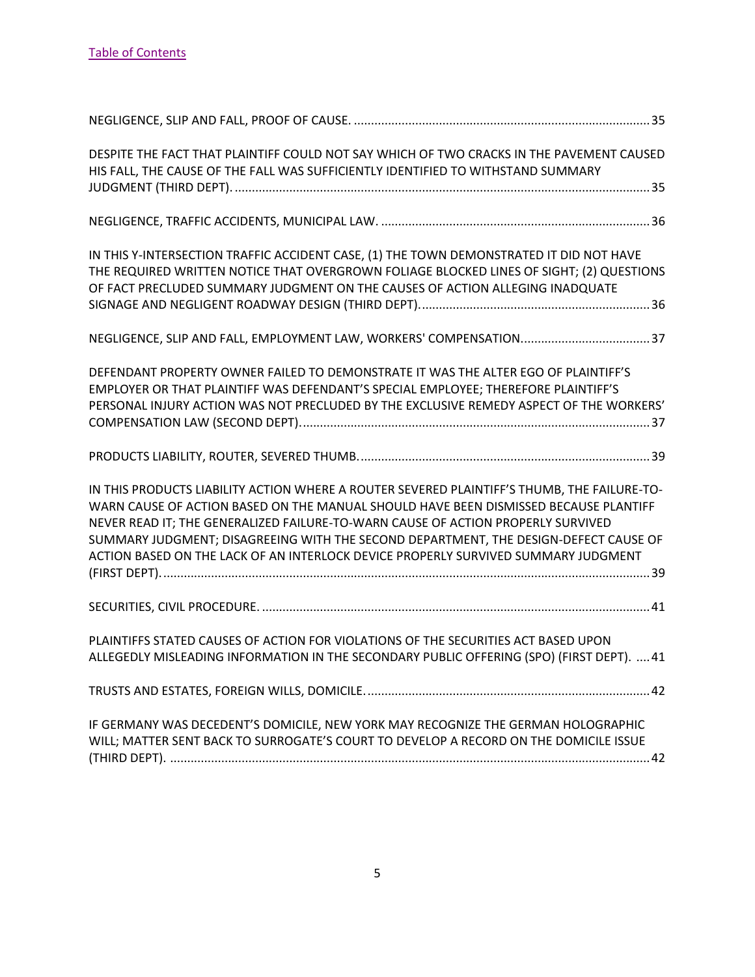| DESPITE THE FACT THAT PLAINTIFF COULD NOT SAY WHICH OF TWO CRACKS IN THE PAVEMENT CAUSED<br>HIS FALL, THE CAUSE OF THE FALL WAS SUFFICIENTLY IDENTIFIED TO WITHSTAND SUMMARY                                                                                                                                                                                                                                                                          |  |
|-------------------------------------------------------------------------------------------------------------------------------------------------------------------------------------------------------------------------------------------------------------------------------------------------------------------------------------------------------------------------------------------------------------------------------------------------------|--|
|                                                                                                                                                                                                                                                                                                                                                                                                                                                       |  |
| IN THIS Y-INTERSECTION TRAFFIC ACCIDENT CASE, (1) THE TOWN DEMONSTRATED IT DID NOT HAVE<br>THE REQUIRED WRITTEN NOTICE THAT OVERGROWN FOLIAGE BLOCKED LINES OF SIGHT; (2) QUESTIONS<br>OF FACT PRECLUDED SUMMARY JUDGMENT ON THE CAUSES OF ACTION ALLEGING INADQUATE                                                                                                                                                                                  |  |
|                                                                                                                                                                                                                                                                                                                                                                                                                                                       |  |
| DEFENDANT PROPERTY OWNER FAILED TO DEMONSTRATE IT WAS THE ALTER EGO OF PLAINTIFF'S<br>EMPLOYER OR THAT PLAINTIFF WAS DEFENDANT'S SPECIAL EMPLOYEE; THEREFORE PLAINTIFF'S<br>PERSONAL INJURY ACTION WAS NOT PRECLUDED BY THE EXCLUSIVE REMEDY ASPECT OF THE WORKERS'                                                                                                                                                                                   |  |
|                                                                                                                                                                                                                                                                                                                                                                                                                                                       |  |
| IN THIS PRODUCTS LIABILITY ACTION WHERE A ROUTER SEVERED PLAINTIFF'S THUMB, THE FAILURE-TO-<br>WARN CAUSE OF ACTION BASED ON THE MANUAL SHOULD HAVE BEEN DISMISSED BECAUSE PLANTIFF<br>NEVER READ IT; THE GENERALIZED FAILURE-TO-WARN CAUSE OF ACTION PROPERLY SURVIVED<br>SUMMARY JUDGMENT; DISAGREEING WITH THE SECOND DEPARTMENT, THE DESIGN-DEFECT CAUSE OF<br>ACTION BASED ON THE LACK OF AN INTERLOCK DEVICE PROPERLY SURVIVED SUMMARY JUDGMENT |  |
|                                                                                                                                                                                                                                                                                                                                                                                                                                                       |  |
| PLAINTIFFS STATED CAUSES OF ACTION FOR VIOLATIONS OF THE SECURITIES ACT BASED UPON<br>ALLEGEDLY MISLEADING INFORMATION IN THE SECONDARY PUBLIC OFFERING (SPO) (FIRST DEPT).  41                                                                                                                                                                                                                                                                       |  |
|                                                                                                                                                                                                                                                                                                                                                                                                                                                       |  |
| IF GERMANY WAS DECEDENT'S DOMICILE, NEW YORK MAY RECOGNIZE THE GERMAN HOLOGRAPHIC<br>WILL; MATTER SENT BACK TO SURROGATE'S COURT TO DEVELOP A RECORD ON THE DOMICILE ISSUE                                                                                                                                                                                                                                                                            |  |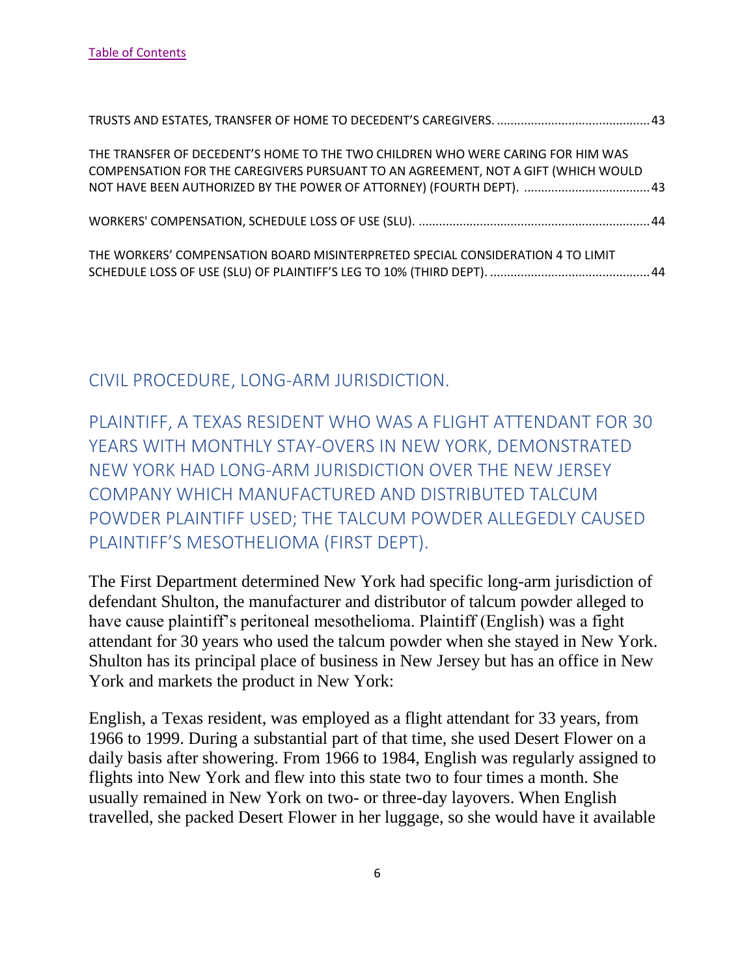| THE TRANSFER OF DECEDENT'S HOME TO THE TWO CHILDREN WHO WERE CARING FOR HIM WAS<br>COMPENSATION FOR THE CAREGIVERS PURSUANT TO AN AGREEMENT, NOT A GIFT (WHICH WOULD |  |
|----------------------------------------------------------------------------------------------------------------------------------------------------------------------|--|
|                                                                                                                                                                      |  |
| THE WORKERS' COMPENSATION BOARD MISINTERPRETED SPECIAL CONSIDERATION 4 TO LIMIT                                                                                      |  |

## <span id="page-6-0"></span>CIVIL PROCEDURE, LONG-ARM JURISDICTION.

<span id="page-6-1"></span>PLAINTIFF, A TEXAS RESIDENT WHO WAS A FLIGHT ATTENDANT FOR 30 YEARS WITH MONTHLY STAY-OVERS IN NEW YORK, DEMONSTRATED NEW YORK HAD LONG-ARM JURISDICTION OVER THE NEW JERSEY COMPANY WHICH MANUFACTURED AND DISTRIBUTED TALCUM POWDER PLAINTIFF USED; THE TALCUM POWDER ALLEGEDLY CAUSED PLAINTIFF'S MESOTHELIOMA (FIRST DEPT).

The First Department determined New York had specific long-arm jurisdiction of defendant Shulton, the manufacturer and distributor of talcum powder alleged to have cause plaintiff's peritoneal mesothelioma. Plaintiff (English) was a fight attendant for 30 years who used the talcum powder when she stayed in New York. Shulton has its principal place of business in New Jersey but has an office in New York and markets the product in New York:

English, a Texas resident, was employed as a flight attendant for 33 years, from 1966 to 1999. During a substantial part of that time, she used Desert Flower on a daily basis after showering. From 1966 to 1984, English was regularly assigned to flights into New York and flew into this state two to four times a month. She usually remained in New York on two- or three-day layovers. When English travelled, she packed Desert Flower in her luggage, so she would have it available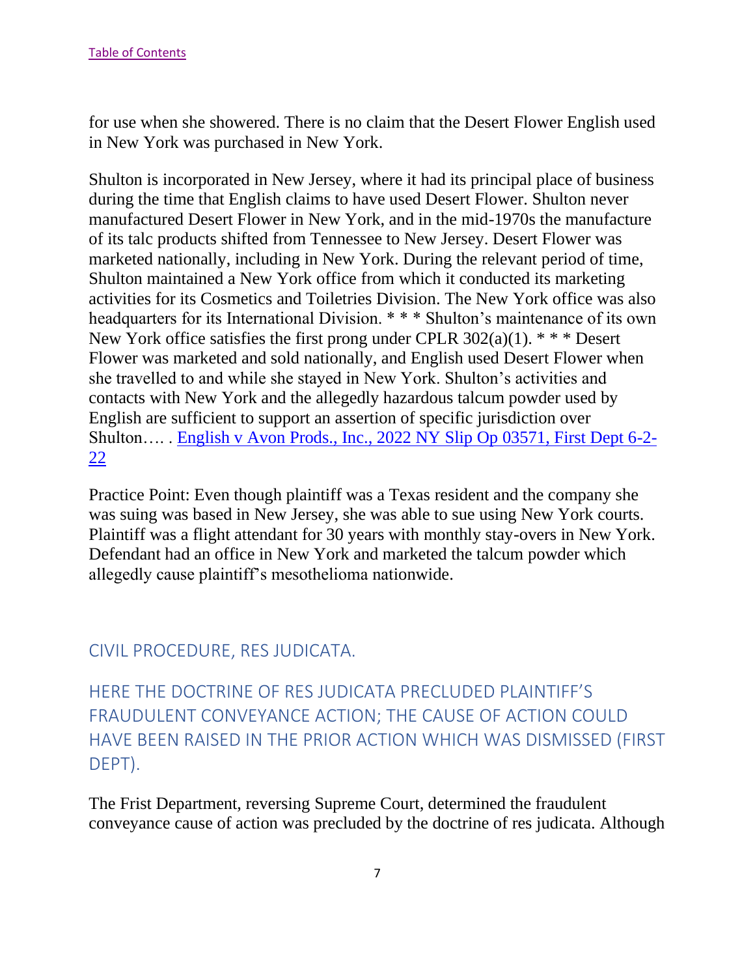for use when she showered. There is no claim that the Desert Flower English used in New York was purchased in New York.

Shulton is incorporated in New Jersey, where it had its principal place of business during the time that English claims to have used Desert Flower. Shulton never manufactured Desert Flower in New York, and in the mid-1970s the manufacture of its talc products shifted from Tennessee to New Jersey. Desert Flower was marketed nationally, including in New York. During the relevant period of time, Shulton maintained a New York office from which it conducted its marketing activities for its Cosmetics and Toiletries Division. The New York office was also headquarters for its International Division. \* \* \* Shulton's maintenance of its own New York office satisfies the first prong under CPLR  $302(a)(1)$ . \* \* \* Desert Flower was marketed and sold nationally, and English used Desert Flower when she travelled to and while she stayed in New York. Shulton's activities and contacts with New York and the allegedly hazardous talcum powder used by English are sufficient to support an assertion of specific jurisdiction over Shulton…. . [English v Avon Prods., Inc., 2022 NY Slip Op 03571, First Dept 6-2-](https://nycourts.gov/reporter/3dseries/2022/2022_03571.htm) [22](https://nycourts.gov/reporter/3dseries/2022/2022_03571.htm)

Practice Point: Even though plaintiff was a Texas resident and the company she was suing was based in New Jersey, she was able to sue using New York courts. Plaintiff was a flight attendant for 30 years with monthly stay-overs in New York. Defendant had an office in New York and marketed the talcum powder which allegedly cause plaintiff's mesothelioma nationwide.

## <span id="page-7-0"></span>CIVIL PROCEDURE, RES JUDICATA.

<span id="page-7-1"></span>HERE THE DOCTRINE OF RES JUDICATA PRECLUDED PLAINTIFF'S FRAUDULENT CONVEYANCE ACTION; THE CAUSE OF ACTION COULD HAVE BEEN RAISED IN THE PRIOR ACTION WHICH WAS DISMISSED (FIRST DEPT).

The Frist Department, reversing Supreme Court, determined the fraudulent conveyance cause of action was precluded by the doctrine of res judicata. Although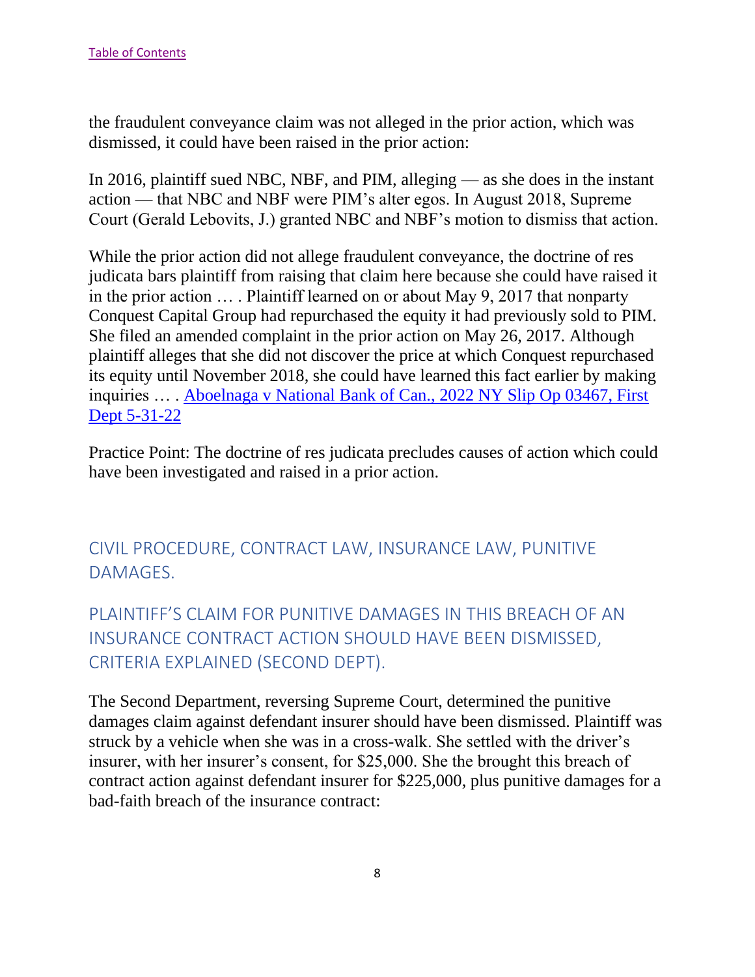the fraudulent conveyance claim was not alleged in the prior action, which was dismissed, it could have been raised in the prior action:

In 2016, plaintiff sued NBC, NBF, and PIM, alleging — as she does in the instant action — that NBC and NBF were PIM's alter egos. In August 2018, Supreme Court (Gerald Lebovits, J.) granted NBC and NBF's motion to dismiss that action.

While the prior action did not allege fraudulent conveyance, the doctrine of res judicata bars plaintiff from raising that claim here because she could have raised it in the prior action … . Plaintiff learned on or about May 9, 2017 that nonparty Conquest Capital Group had repurchased the equity it had previously sold to PIM. She filed an amended complaint in the prior action on May 26, 2017. Although plaintiff alleges that she did not discover the price at which Conquest repurchased its equity until November 2018, she could have learned this fact earlier by making inquiries … . [Aboelnaga v National Bank of Can., 2022 NY Slip Op 03467, First](https://nycourts.gov/reporter/3dseries/2022/2022_03467.htm)  [Dept 5-31-22](https://nycourts.gov/reporter/3dseries/2022/2022_03467.htm)

Practice Point: The doctrine of res judicata precludes causes of action which could have been investigated and raised in a prior action.

<span id="page-8-0"></span>CIVIL PROCEDURE, CONTRACT LAW, INSURANCE LAW, PUNITIVE DAMAGES.

<span id="page-8-1"></span>PLAINTIFF'S CLAIM FOR PUNITIVE DAMAGES IN THIS BREACH OF AN INSURANCE CONTRACT ACTION SHOULD HAVE BEEN DISMISSED, CRITERIA EXPLAINED (SECOND DEPT).

The Second Department, reversing Supreme Court, determined the punitive damages claim against defendant insurer should have been dismissed. Plaintiff was struck by a vehicle when she was in a cross-walk. She settled with the driver's insurer, with her insurer's consent, for \$25,000. She the brought this breach of contract action against defendant insurer for \$225,000, plus punitive damages for a bad-faith breach of the insurance contract: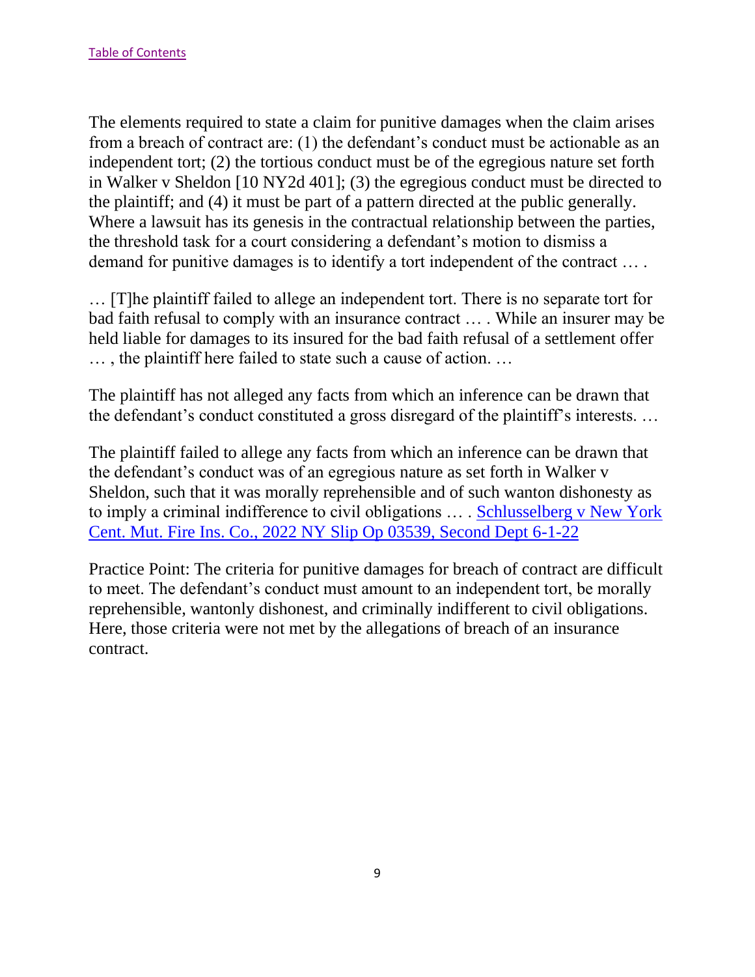The elements required to state a claim for punitive damages when the claim arises from a breach of contract are: (1) the defendant's conduct must be actionable as an independent tort; (2) the tortious conduct must be of the egregious nature set forth in Walker v Sheldon [10 NY2d 401]; (3) the egregious conduct must be directed to the plaintiff; and (4) it must be part of a pattern directed at the public generally. Where a lawsuit has its genesis in the contractual relationship between the parties, the threshold task for a court considering a defendant's motion to dismiss a demand for punitive damages is to identify a tort independent of the contract … .

… [T]he plaintiff failed to allege an independent tort. There is no separate tort for bad faith refusal to comply with an insurance contract … . While an insurer may be held liable for damages to its insured for the bad faith refusal of a settlement offer … , the plaintiff here failed to state such a cause of action. …

The plaintiff has not alleged any facts from which an inference can be drawn that the defendant's conduct constituted a gross disregard of the plaintiff's interests. …

The plaintiff failed to allege any facts from which an inference can be drawn that the defendant's conduct was of an egregious nature as set forth in Walker v Sheldon, such that it was morally reprehensible and of such wanton dishonesty as to imply a criminal indifference to civil obligations … . [Schlusselberg v New York](https://nycourts.gov/reporter/3dseries/2022/2022_03539.htm)  [Cent. Mut. Fire Ins. Co., 2022 NY Slip Op 03539, Second Dept 6-1-22](https://nycourts.gov/reporter/3dseries/2022/2022_03539.htm)

Practice Point: The criteria for punitive damages for breach of contract are difficult to meet. The defendant's conduct must amount to an independent tort, be morally reprehensible, wantonly dishonest, and criminally indifferent to civil obligations. Here, those criteria were not met by the allegations of breach of an insurance contract.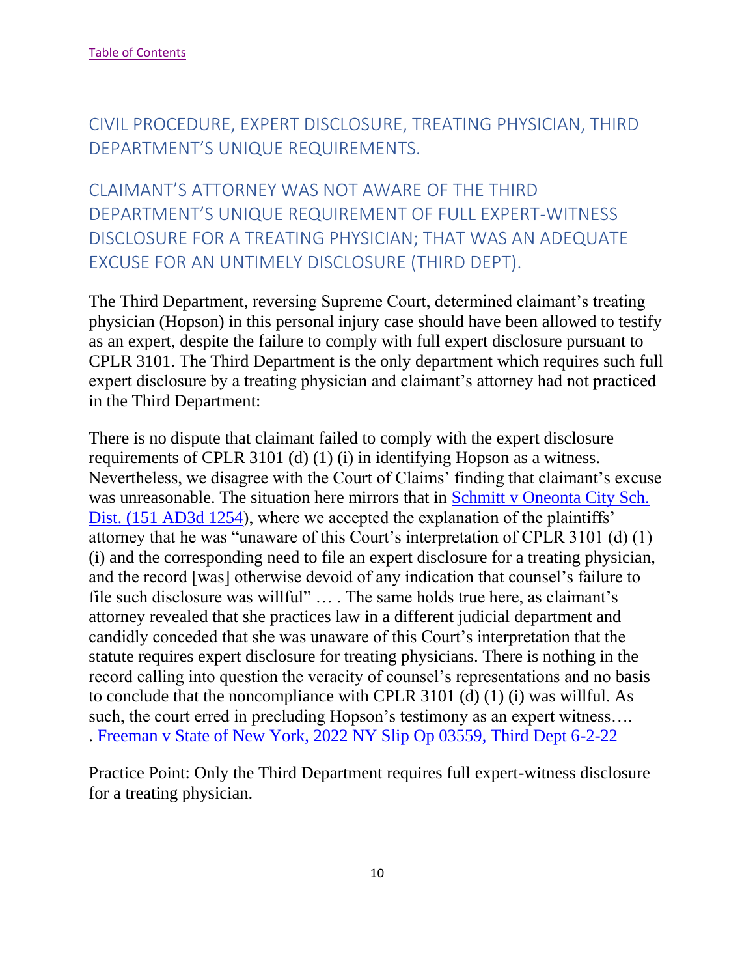<span id="page-10-0"></span>CIVIL PROCEDURE, EXPERT DISCLOSURE, TREATING PHYSICIAN, THIRD DEPARTMENT'S UNIQUE REQUIREMENTS.

<span id="page-10-1"></span>CLAIMANT'S ATTORNEY WAS NOT AWARE OF THE THIRD DEPARTMENT'S UNIQUE REQUIREMENT OF FULL EXPERT-WITNESS DISCLOSURE FOR A TREATING PHYSICIAN; THAT WAS AN ADEQUATE EXCUSE FOR AN UNTIMELY DISCLOSURE (THIRD DEPT).

The Third Department, reversing Supreme Court, determined claimant's treating physician (Hopson) in this personal injury case should have been allowed to testify as an expert, despite the failure to comply with full expert disclosure pursuant to CPLR 3101. The Third Department is the only department which requires such full expert disclosure by a treating physician and claimant's attorney had not practiced in the Third Department:

There is no dispute that claimant failed to comply with the expert disclosure requirements of CPLR 3101 (d) (1) (i) in identifying Hopson as a witness. Nevertheless, we disagree with the Court of Claims' finding that claimant's excuse was unreasonable. The situation here mirrors that in Schmitt v Oneonta City Sch. [Dist. \(151 AD3d 1254\)](https://nycourts.gov/reporter/3dseries/2017/2017_04527.htm), where we accepted the explanation of the plaintiffs' attorney that he was "unaware of this Court's interpretation of CPLR 3101 (d) (1) (i) and the corresponding need to file an expert disclosure for a treating physician, and the record [was] otherwise devoid of any indication that counsel's failure to file such disclosure was willful" … . The same holds true here, as claimant's attorney revealed that she practices law in a different judicial department and candidly conceded that she was unaware of this Court's interpretation that the statute requires expert disclosure for treating physicians. There is nothing in the record calling into question the veracity of counsel's representations and no basis to conclude that the noncompliance with CPLR 3101 (d) (1) (i) was willful. As such, the court erred in precluding Hopson's testimony as an expert witness…. . [Freeman v State of New York, 2022 NY Slip Op 03559, Third Dept 6-2-22](https://nycourts.gov/reporter/3dseries/2022/2022_03559.htm)

Practice Point: Only the Third Department requires full expert-witness disclosure for a treating physician.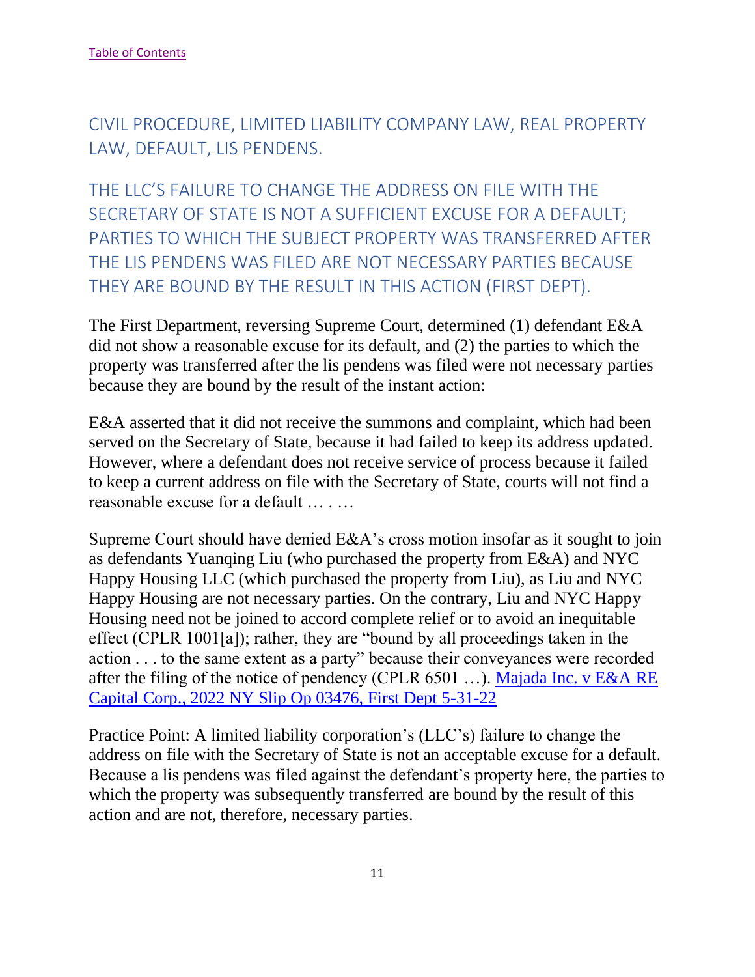<span id="page-11-0"></span>CIVIL PROCEDURE, LIMITED LIABILITY COMPANY LAW, REAL PROPERTY LAW, DEFAULT, LIS PENDENS.

<span id="page-11-1"></span>THE LLC'S FAILURE TO CHANGE THE ADDRESS ON FILE WITH THE SECRETARY OF STATE IS NOT A SUFFICIENT EXCUSE FOR A DEFAULT; PARTIES TO WHICH THE SUBJECT PROPERTY WAS TRANSFERRED AFTER THE LIS PENDENS WAS FILED ARE NOT NECESSARY PARTIES BECAUSE THEY ARE BOUND BY THE RESULT IN THIS ACTION (FIRST DEPT).

The First Department, reversing Supreme Court, determined (1) defendant E&A did not show a reasonable excuse for its default, and (2) the parties to which the property was transferred after the lis pendens was filed were not necessary parties because they are bound by the result of the instant action:

E&A asserted that it did not receive the summons and complaint, which had been served on the Secretary of State, because it had failed to keep its address updated. However, where a defendant does not receive service of process because it failed to keep a current address on file with the Secretary of State, courts will not find a reasonable excuse for a default … . …

Supreme Court should have denied E&A's cross motion insofar as it sought to join as defendants Yuanqing Liu (who purchased the property from E&A) and NYC Happy Housing LLC (which purchased the property from Liu), as Liu and NYC Happy Housing are not necessary parties. On the contrary, Liu and NYC Happy Housing need not be joined to accord complete relief or to avoid an inequitable effect (CPLR 1001[a]); rather, they are "bound by all proceedings taken in the action . . . to the same extent as a party" because their conveyances were recorded after the filing of the notice of pendency (CPLR 6501 …). [Majada Inc. v E&A RE](https://nycourts.gov/reporter/3dseries/2022/2022_03476.htm)  [Capital Corp., 2022 NY Slip Op 03476, First Dept 5-31-22](https://nycourts.gov/reporter/3dseries/2022/2022_03476.htm)

Practice Point: A limited liability corporation's (LLC's) failure to change the address on file with the Secretary of State is not an acceptable excuse for a default. Because a lis pendens was filed against the defendant's property here, the parties to which the property was subsequently transferred are bound by the result of this action and are not, therefore, necessary parties.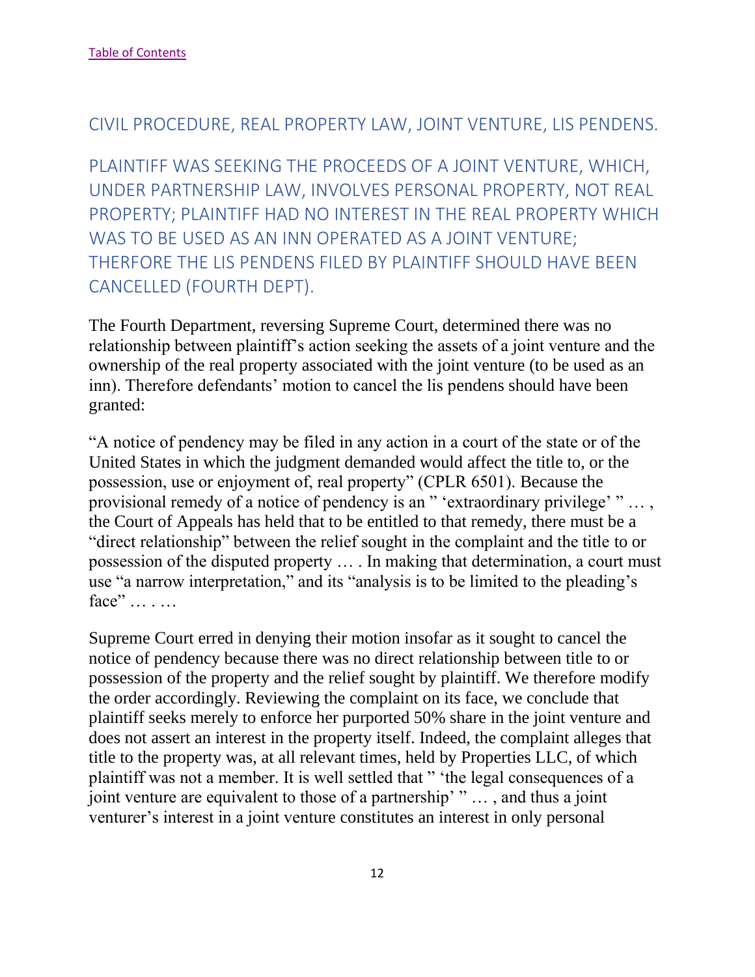#### <span id="page-12-0"></span>CIVIL PROCEDURE, REAL PROPERTY LAW, JOINT VENTURE, LIS PENDENS.

<span id="page-12-1"></span>PLAINTIFF WAS SEEKING THE PROCEEDS OF A JOINT VENTURE, WHICH, UNDER PARTNERSHIP LAW, INVOLVES PERSONAL PROPERTY, NOT REAL PROPERTY; PLAINTIFF HAD NO INTEREST IN THE REAL PROPERTY WHICH WAS TO BE USED AS AN INN OPERATED AS A JOINT VENTURE; THERFORE THE LIS PENDENS FILED BY PLAINTIFF SHOULD HAVE BEEN CANCELLED (FOURTH DEPT).

The Fourth Department, reversing Supreme Court, determined there was no relationship between plaintiff's action seeking the assets of a joint venture and the ownership of the real property associated with the joint venture (to be used as an inn). Therefore defendants' motion to cancel the lis pendens should have been granted:

"A notice of pendency may be filed in any action in a court of the state or of the United States in which the judgment demanded would affect the title to, or the possession, use or enjoyment of, real property" (CPLR 6501). Because the provisional remedy of a notice of pendency is an " 'extraordinary privilege' " … , the Court of Appeals has held that to be entitled to that remedy, there must be a "direct relationship" between the relief sought in the complaint and the title to or possession of the disputed property … . In making that determination, a court must use "a narrow interpretation," and its "analysis is to be limited to the pleading's face" … . …

Supreme Court erred in denying their motion insofar as it sought to cancel the notice of pendency because there was no direct relationship between title to or possession of the property and the relief sought by plaintiff. We therefore modify the order accordingly. Reviewing the complaint on its face, we conclude that plaintiff seeks merely to enforce her purported 50% share in the joint venture and does not assert an interest in the property itself. Indeed, the complaint alleges that title to the property was, at all relevant times, held by Properties LLC, of which plaintiff was not a member. It is well settled that " 'the legal consequences of a joint venture are equivalent to those of a partnership' " … , and thus a joint venturer's interest in a joint venture constitutes an interest in only personal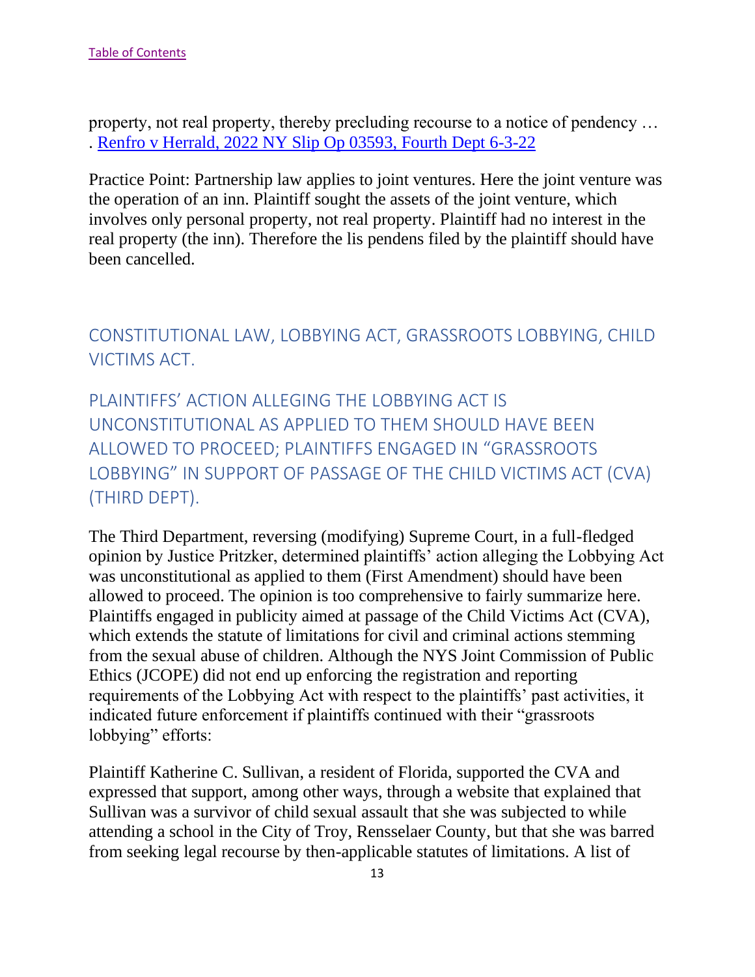property, not real property, thereby precluding recourse to a notice of pendency … . [Renfro v Herrald, 2022 NY Slip Op 03593, Fourth Dept 6-3-22](https://nycourts.gov/reporter/3dseries/2022/2022_03593.htm)

Practice Point: Partnership law applies to joint ventures. Here the joint venture was the operation of an inn. Plaintiff sought the assets of the joint venture, which involves only personal property, not real property. Plaintiff had no interest in the real property (the inn). Therefore the lis pendens filed by the plaintiff should have been cancelled.

<span id="page-13-0"></span>CONSTITUTIONAL LAW, LOBBYING ACT, GRASSROOTS LOBBYING, CHILD VICTIMS ACT.

<span id="page-13-1"></span>PLAINTIFFS' ACTION ALLEGING THE LOBBYING ACT IS UNCONSTITUTIONAL AS APPLIED TO THEM SHOULD HAVE BEEN ALLOWED TO PROCEED; PLAINTIFFS ENGAGED IN "GRASSROOTS LOBBYING" IN SUPPORT OF PASSAGE OF THE CHILD VICTIMS ACT (CVA) (THIRD DEPT).

The Third Department, reversing (modifying) Supreme Court, in a full-fledged opinion by Justice Pritzker, determined plaintiffs' action alleging the Lobbying Act was unconstitutional as applied to them (First Amendment) should have been allowed to proceed. The opinion is too comprehensive to fairly summarize here. Plaintiffs engaged in publicity aimed at passage of the Child Victims Act (CVA), which extends the statute of limitations for civil and criminal actions stemming from the sexual abuse of children. Although the NYS Joint Commission of Public Ethics (JCOPE) did not end up enforcing the registration and reporting requirements of the Lobbying Act with respect to the plaintiffs' past activities, it indicated future enforcement if plaintiffs continued with their "grassroots lobbying" efforts:

Plaintiff Katherine C. Sullivan, a resident of Florida, supported the CVA and expressed that support, among other ways, through a website that explained that Sullivan was a survivor of child sexual assault that she was subjected to while attending a school in the City of Troy, Rensselaer County, but that she was barred from seeking legal recourse by then-applicable statutes of limitations. A list of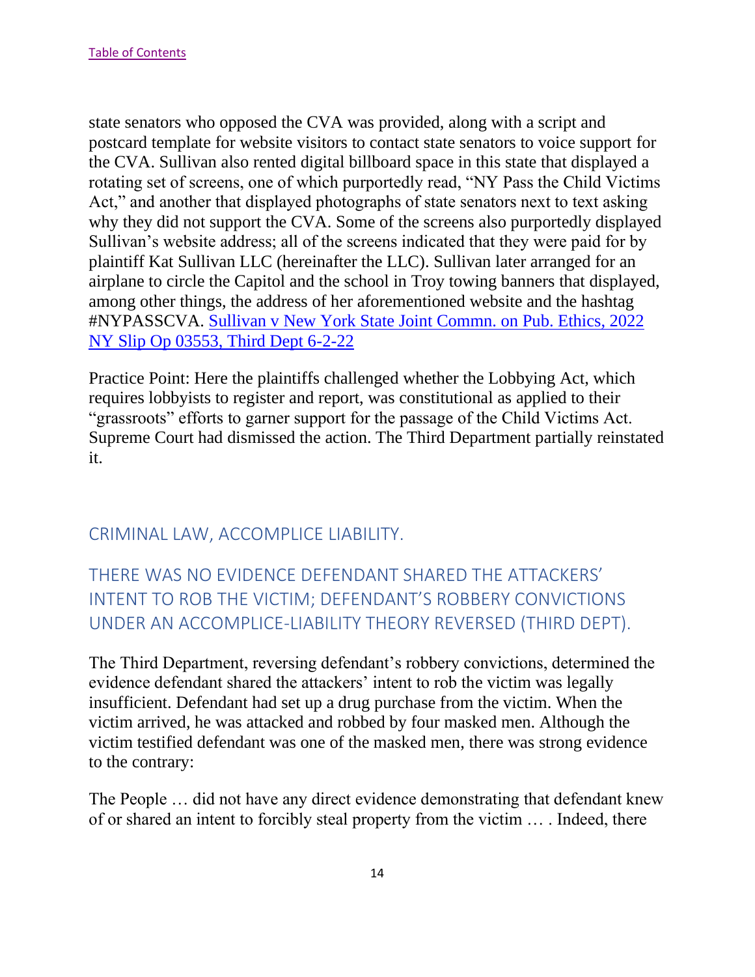state senators who opposed the CVA was provided, along with a script and postcard template for website visitors to contact state senators to voice support for the CVA. Sullivan also rented digital billboard space in this state that displayed a rotating set of screens, one of which purportedly read, "NY Pass the Child Victims Act," and another that displayed photographs of state senators next to text asking why they did not support the CVA. Some of the screens also purportedly displayed Sullivan's website address; all of the screens indicated that they were paid for by plaintiff Kat Sullivan LLC (hereinafter the LLC). Sullivan later arranged for an airplane to circle the Capitol and the school in Troy towing banners that displayed, among other things, the address of her aforementioned website and the hashtag #NYPASSCVA. [Sullivan v New York State Joint Commn. on Pub. Ethics, 2022](https://nycourts.gov/reporter/3dseries/2022/2022_03553.htm)  [NY Slip Op 03553, Third Dept 6-2-22](https://nycourts.gov/reporter/3dseries/2022/2022_03553.htm)

Practice Point: Here the plaintiffs challenged whether the Lobbying Act, which requires lobbyists to register and report, was constitutional as applied to their "grassroots" efforts to garner support for the passage of the Child Victims Act. Supreme Court had dismissed the action. The Third Department partially reinstated it.

## <span id="page-14-0"></span>CRIMINAL LAW, ACCOMPLICE LIABILITY.

# <span id="page-14-1"></span>THERE WAS NO EVIDENCE DEFENDANT SHARED THE ATTACKERS' INTENT TO ROB THE VICTIM; DEFENDANT'S ROBBERY CONVICTIONS UNDER AN ACCOMPLICE-LIABILITY THEORY REVERSED (THIRD DEPT).

The Third Department, reversing defendant's robbery convictions, determined the evidence defendant shared the attackers' intent to rob the victim was legally insufficient. Defendant had set up a drug purchase from the victim. When the victim arrived, he was attacked and robbed by four masked men. Although the victim testified defendant was one of the masked men, there was strong evidence to the contrary:

The People … did not have any direct evidence demonstrating that defendant knew of or shared an intent to forcibly steal property from the victim … . Indeed, there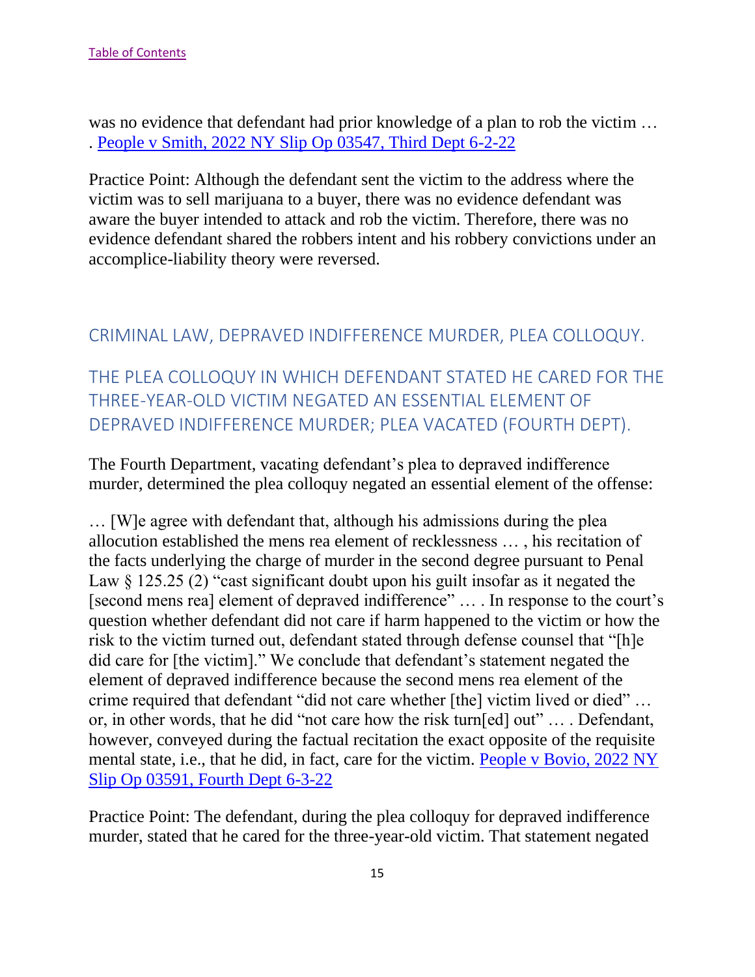was no evidence that defendant had prior knowledge of a plan to rob the victim ... . [People v Smith, 2022 NY Slip Op 03547, Third Dept 6-2-22](https://nycourts.gov/reporter/3dseries/2022/2022_03547.htm)

Practice Point: Although the defendant sent the victim to the address where the victim was to sell marijuana to a buyer, there was no evidence defendant was aware the buyer intended to attack and rob the victim. Therefore, there was no evidence defendant shared the robbers intent and his robbery convictions under an accomplice-liability theory were reversed.

## <span id="page-15-0"></span>CRIMINAL LAW, DEPRAVED INDIFFERENCE MURDER, PLEA COLLOQUY.

<span id="page-15-1"></span>THE PLEA COLLOQUY IN WHICH DEFENDANT STATED HE CARED FOR THE THREE-YEAR-OLD VICTIM NEGATED AN ESSENTIAL ELEMENT OF DEPRAVED INDIFFERENCE MURDER; PLEA VACATED (FOURTH DEPT).

The Fourth Department, vacating defendant's plea to depraved indifference murder, determined the plea colloquy negated an essential element of the offense:

… [W]e agree with defendant that, although his admissions during the plea allocution established the mens rea element of recklessness … , his recitation of the facts underlying the charge of murder in the second degree pursuant to Penal Law  $\S$  125.25 (2) "cast significant doubt upon his guilt insofar as it negated the [second mens rea] element of depraved indifference" … . In response to the court's question whether defendant did not care if harm happened to the victim or how the risk to the victim turned out, defendant stated through defense counsel that "[h]e did care for [the victim]." We conclude that defendant's statement negated the element of depraved indifference because the second mens rea element of the crime required that defendant "did not care whether [the] victim lived or died" … or, in other words, that he did "not care how the risk turn[ed] out" … . Defendant, however, conveyed during the factual recitation the exact opposite of the requisite mental state, i.e., that he did, in fact, care for the victim. [People v Bovio, 2022 NY](https://nycourts.gov/reporter/3dseries/2022/2022_03591.htm)  [Slip Op 03591, Fourth Dept 6-3-22](https://nycourts.gov/reporter/3dseries/2022/2022_03591.htm)

Practice Point: The defendant, during the plea colloquy for depraved indifference murder, stated that he cared for the three-year-old victim. That statement negated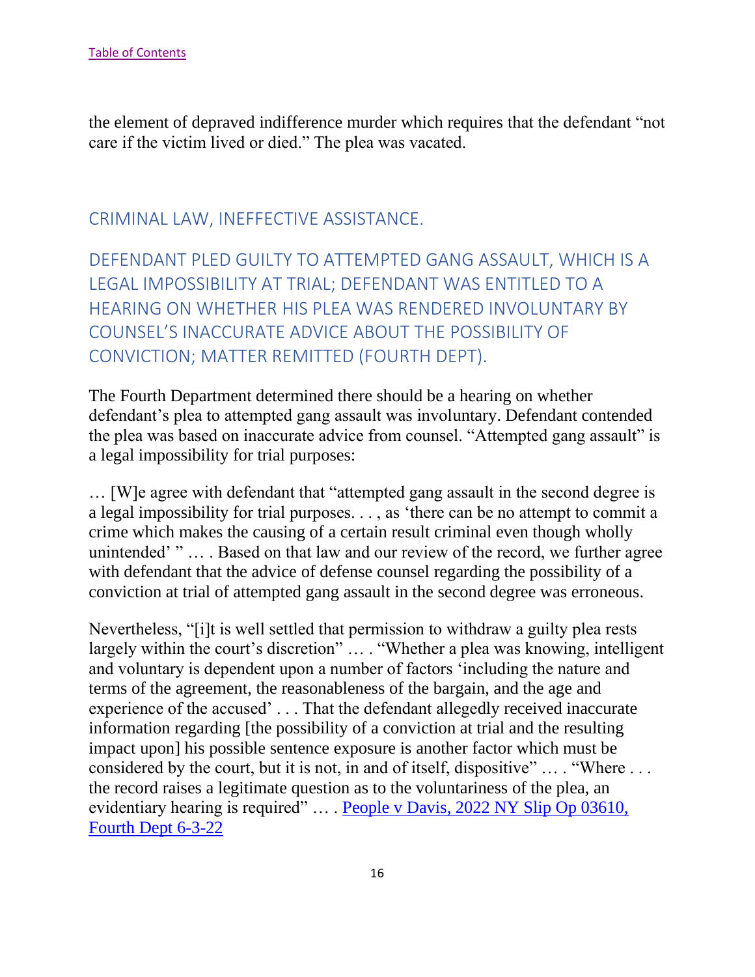the element of depraved indifference murder which requires that the defendant "not care if the victim lived or died." The plea was vacated.

#### <span id="page-16-0"></span>CRIMINAL LAW, INEFFECTIVE ASSISTANCE.

<span id="page-16-1"></span>DEFENDANT PLED GUILTY TO ATTEMPTED GANG ASSAULT, WHICH IS A LEGAL IMPOSSIBILITY AT TRIAL; DEFENDANT WAS ENTITLED TO A HEARING ON WHETHER HIS PLEA WAS RENDERED INVOLUNTARY BY COUNSEL'S INACCURATE ADVICE ABOUT THE POSSIBILITY OF CONVICTION; MATTER REMITTED (FOURTH DEPT).

The Fourth Department determined there should be a hearing on whether defendant's plea to attempted gang assault was involuntary. Defendant contended the plea was based on inaccurate advice from counsel. "Attempted gang assault" is a legal impossibility for trial purposes:

… [W]e agree with defendant that "attempted gang assault in the second degree is a legal impossibility for trial purposes. . . , as 'there can be no attempt to commit a crime which makes the causing of a certain result criminal even though wholly unintended' " … . Based on that law and our review of the record, we further agree with defendant that the advice of defense counsel regarding the possibility of a conviction at trial of attempted gang assault in the second degree was erroneous.

Nevertheless, "[i]t is well settled that permission to withdraw a guilty plea rests largely within the court's discretion" … . "Whether a plea was knowing, intelligent and voluntary is dependent upon a number of factors 'including the nature and terms of the agreement, the reasonableness of the bargain, and the age and experience of the accused' . . . That the defendant allegedly received inaccurate information regarding [the possibility of a conviction at trial and the resulting impact upon] his possible sentence exposure is another factor which must be considered by the court, but it is not, in and of itself, dispositive" … . "Where . . . the record raises a legitimate question as to the voluntariness of the plea, an evidentiary hearing is required" … . [People v Davis, 2022 NY Slip Op 03610,](https://nycourts.gov/reporter/3dseries/2022/2022_03610.htm) [Fourth Dept 6-3-22](https://nycourts.gov/reporter/3dseries/2022/2022_03610.htm)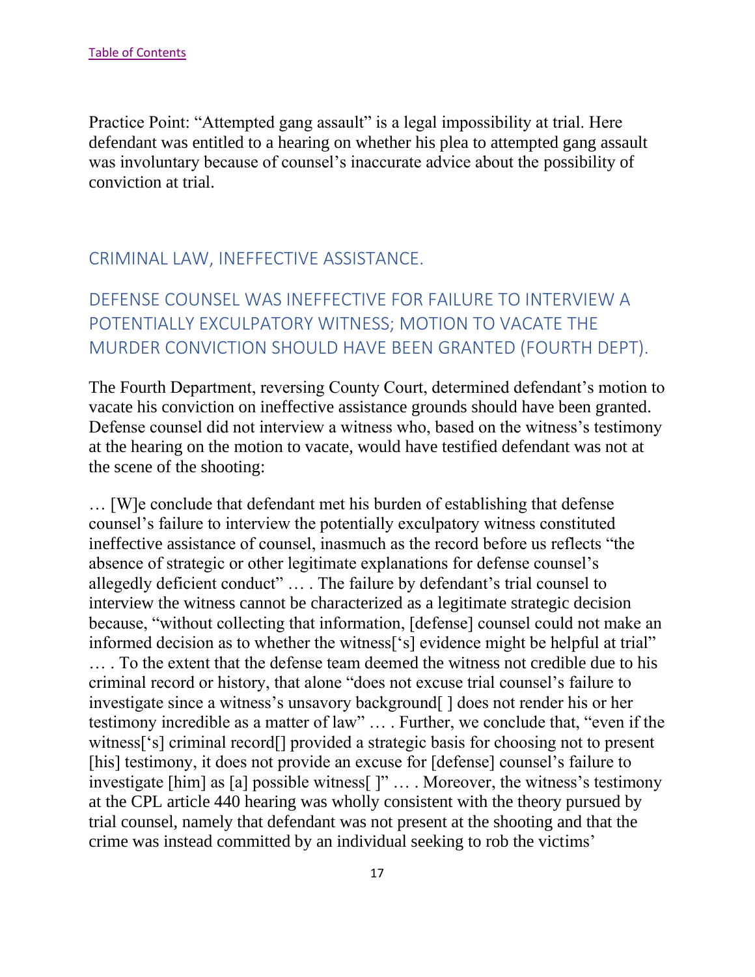Practice Point: "Attempted gang assault" is a legal impossibility at trial. Here defendant was entitled to a hearing on whether his plea to attempted gang assault was involuntary because of counsel's inaccurate advice about the possibility of conviction at trial.

#### <span id="page-17-0"></span>CRIMINAL LAW, INEFFECTIVE ASSISTANCE.

# <span id="page-17-1"></span>DEFENSE COUNSEL WAS INEFFECTIVE FOR FAILURE TO INTERVIEW A POTENTIALLY EXCULPATORY WITNESS; MOTION TO VACATE THE MURDER CONVICTION SHOULD HAVE BEEN GRANTED (FOURTH DEPT).

The Fourth Department, reversing County Court, determined defendant's motion to vacate his conviction on ineffective assistance grounds should have been granted. Defense counsel did not interview a witness who, based on the witness's testimony at the hearing on the motion to vacate, would have testified defendant was not at the scene of the shooting:

… [W]e conclude that defendant met his burden of establishing that defense counsel's failure to interview the potentially exculpatory witness constituted ineffective assistance of counsel, inasmuch as the record before us reflects "the absence of strategic or other legitimate explanations for defense counsel's allegedly deficient conduct" … . The failure by defendant's trial counsel to interview the witness cannot be characterized as a legitimate strategic decision because, "without collecting that information, [defense] counsel could not make an informed decision as to whether the witness['s] evidence might be helpful at trial" … . To the extent that the defense team deemed the witness not credible due to his criminal record or history, that alone "does not excuse trial counsel's failure to investigate since a witness's unsavory background [ ] does not render his or her testimony incredible as a matter of law" … . Further, we conclude that, "even if the witness['s] criminal record[] provided a strategic basis for choosing not to present [his] testimony, it does not provide an excuse for [defense] counsel's failure to investigate [him] as [a] possible witness[ ]" … . Moreover, the witness's testimony at the CPL article 440 hearing was wholly consistent with the theory pursued by trial counsel, namely that defendant was not present at the shooting and that the crime was instead committed by an individual seeking to rob the victims'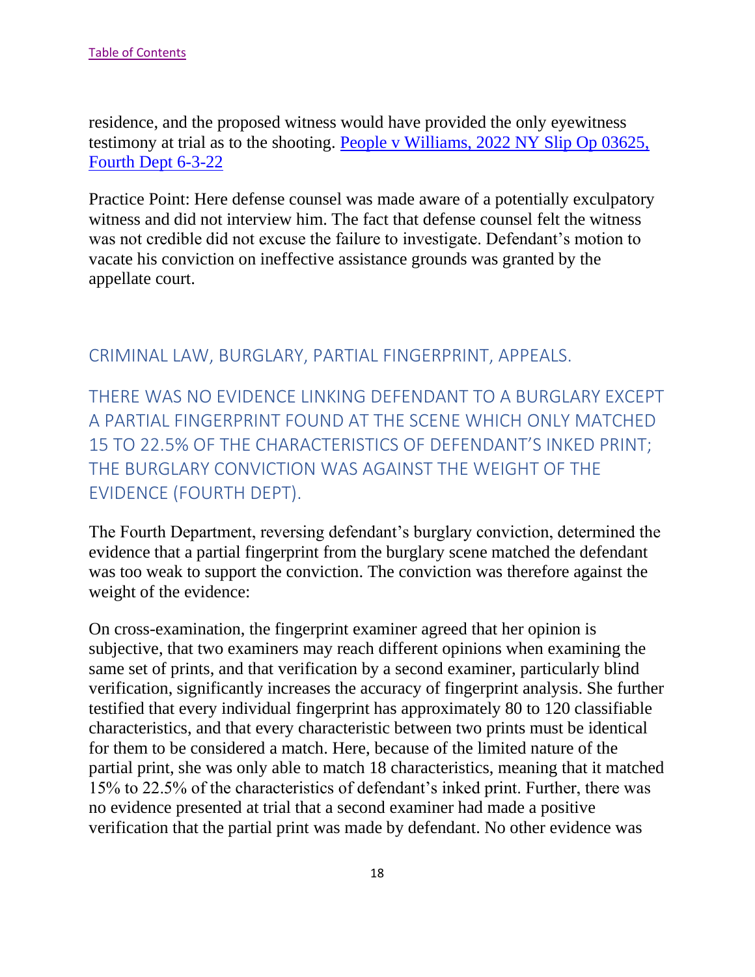residence, and the proposed witness would have provided the only eyewitness testimony at trial as to the shooting. [People v Williams, 2022 NY Slip Op 03625,](https://nycourts.gov/reporter/3dseries/2022/2022_03625.htm)  [Fourth Dept 6-3-22](https://nycourts.gov/reporter/3dseries/2022/2022_03625.htm)

Practice Point: Here defense counsel was made aware of a potentially exculpatory witness and did not interview him. The fact that defense counsel felt the witness was not credible did not excuse the failure to investigate. Defendant's motion to vacate his conviction on ineffective assistance grounds was granted by the appellate court.

## <span id="page-18-0"></span>CRIMINAL LAW, BURGLARY, PARTIAL FINGERPRINT, APPEALS.

<span id="page-18-1"></span>THERE WAS NO EVIDENCE LINKING DEFENDANT TO A BURGLARY EXCEPT A PARTIAL FINGERPRINT FOUND AT THE SCENE WHICH ONLY MATCHED 15 TO 22.5% OF THE CHARACTERISTICS OF DEFENDANT'S INKED PRINT; THE BURGLARY CONVICTION WAS AGAINST THE WEIGHT OF THE EVIDENCE (FOURTH DEPT).

The Fourth Department, reversing defendant's burglary conviction, determined the evidence that a partial fingerprint from the burglary scene matched the defendant was too weak to support the conviction. The conviction was therefore against the weight of the evidence:

On cross-examination, the fingerprint examiner agreed that her opinion is subjective, that two examiners may reach different opinions when examining the same set of prints, and that verification by a second examiner, particularly blind verification, significantly increases the accuracy of fingerprint analysis. She further testified that every individual fingerprint has approximately 80 to 120 classifiable characteristics, and that every characteristic between two prints must be identical for them to be considered a match. Here, because of the limited nature of the partial print, she was only able to match 18 characteristics, meaning that it matched 15% to 22.5% of the characteristics of defendant's inked print. Further, there was no evidence presented at trial that a second examiner had made a positive verification that the partial print was made by defendant. No other evidence was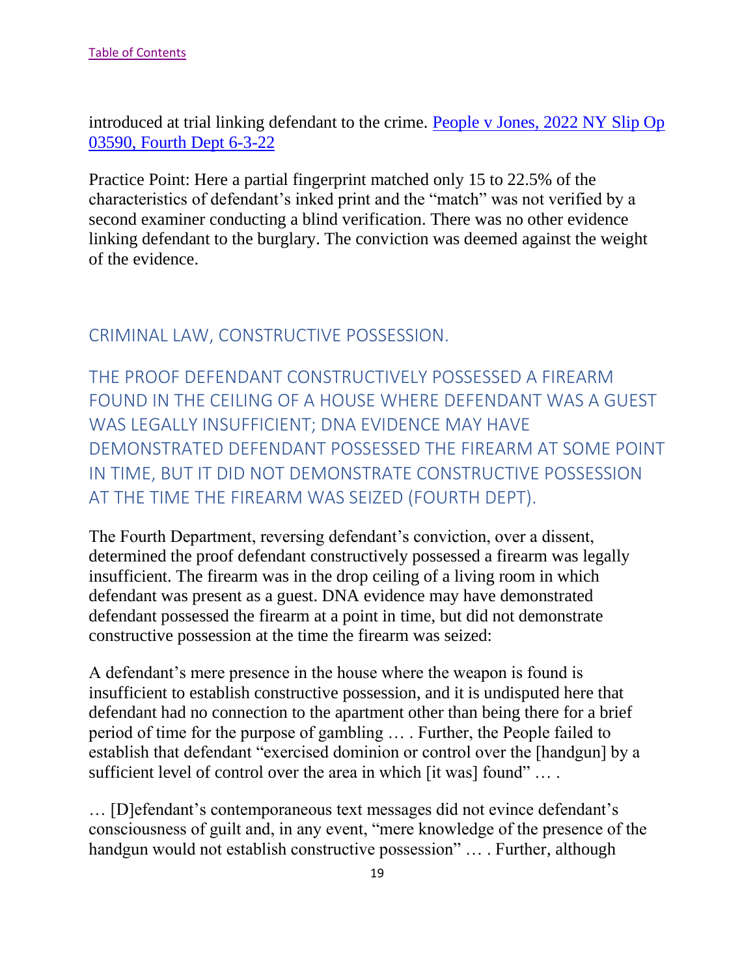introduced at trial linking defendant to the crime. [People v Jones, 2022 NY Slip Op](https://nycourts.gov/reporter/3dseries/2022/2022_03590.htm)  [03590, Fourth Dept 6-3-22](https://nycourts.gov/reporter/3dseries/2022/2022_03590.htm)

Practice Point: Here a partial fingerprint matched only 15 to 22.5% of the characteristics of defendant's inked print and the "match" was not verified by a second examiner conducting a blind verification. There was no other evidence linking defendant to the burglary. The conviction was deemed against the weight of the evidence.

<span id="page-19-0"></span>CRIMINAL LAW, CONSTRUCTIVE POSSESSION.

<span id="page-19-1"></span>THE PROOF DEFENDANT CONSTRUCTIVELY POSSESSED A FIREARM FOUND IN THE CEILING OF A HOUSE WHERE DEFENDANT WAS A GUEST WAS LEGALLY INSUFFICIENT; DNA EVIDENCE MAY HAVE DEMONSTRATED DEFENDANT POSSESSED THE FIREARM AT SOME POINT IN TIME, BUT IT DID NOT DEMONSTRATE CONSTRUCTIVE POSSESSION AT THE TIME THE FIREARM WAS SEIZED (FOURTH DEPT).

The Fourth Department, reversing defendant's conviction, over a dissent, determined the proof defendant constructively possessed a firearm was legally insufficient. The firearm was in the drop ceiling of a living room in which defendant was present as a guest. DNA evidence may have demonstrated defendant possessed the firearm at a point in time, but did not demonstrate constructive possession at the time the firearm was seized:

A defendant's mere presence in the house where the weapon is found is insufficient to establish constructive possession, and it is undisputed here that defendant had no connection to the apartment other than being there for a brief period of time for the purpose of gambling … . Further, the People failed to establish that defendant "exercised dominion or control over the [handgun] by a sufficient level of control over the area in which [it was] found" ... .

… [D]efendant's contemporaneous text messages did not evince defendant's consciousness of guilt and, in any event, "mere knowledge of the presence of the handgun would not establish constructive possession" … . Further, although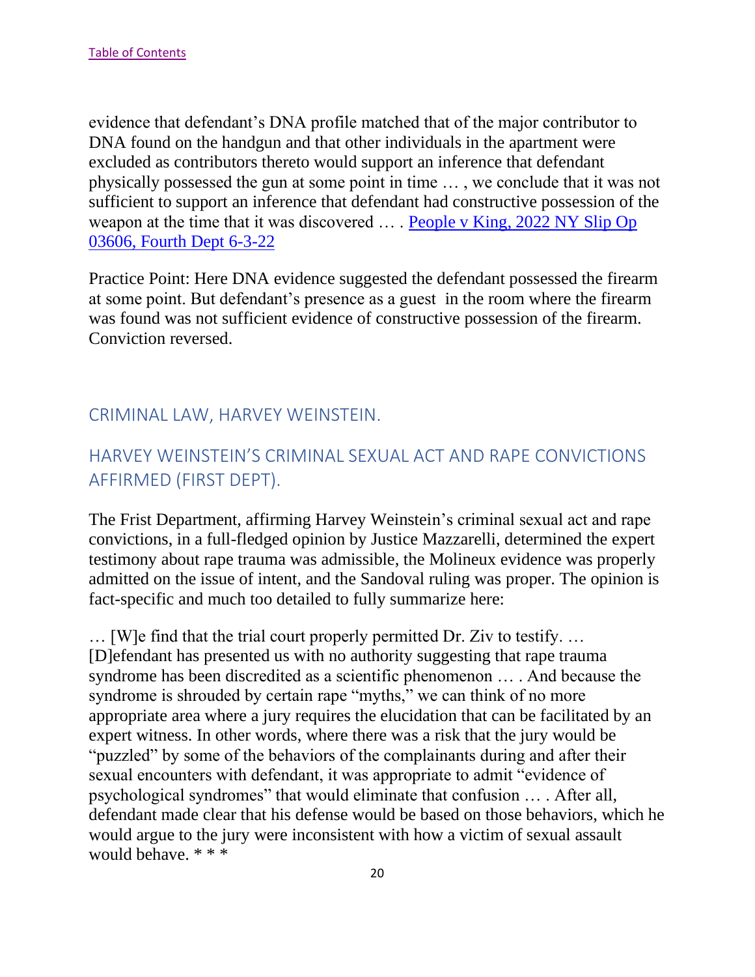evidence that defendant's DNA profile matched that of the major contributor to DNA found on the handgun and that other individuals in the apartment were excluded as contributors thereto would support an inference that defendant physically possessed the gun at some point in time … , we conclude that it was not sufficient to support an inference that defendant had constructive possession of the weapon at the time that it was discovered ... . People v King, 2022 NY Slip Op [03606, Fourth Dept 6-3-22](https://nycourts.gov/reporter/3dseries/2022/2022_03606.htm)

Practice Point: Here DNA evidence suggested the defendant possessed the firearm at some point. But defendant's presence as a guest in the room where the firearm was found was not sufficient evidence of constructive possession of the firearm. Conviction reversed.

# <span id="page-20-0"></span>CRIMINAL LAW, HARVEY WEINSTEIN.

# <span id="page-20-1"></span>HARVEY WEINSTEIN'S CRIMINAL SEXUAL ACT AND RAPE CONVICTIONS AFFIRMED (FIRST DEPT).

The Frist Department, affirming Harvey Weinstein's criminal sexual act and rape convictions, in a full-fledged opinion by Justice Mazzarelli, determined the expert testimony about rape trauma was admissible, the Molineux evidence was properly admitted on the issue of intent, and the Sandoval ruling was proper. The opinion is fact-specific and much too detailed to fully summarize here:

… [W]e find that the trial court properly permitted Dr. Ziv to testify. … [D]efendant has presented us with no authority suggesting that rape trauma syndrome has been discredited as a scientific phenomenon … . And because the syndrome is shrouded by certain rape "myths," we can think of no more appropriate area where a jury requires the elucidation that can be facilitated by an expert witness. In other words, where there was a risk that the jury would be "puzzled" by some of the behaviors of the complainants during and after their sexual encounters with defendant, it was appropriate to admit "evidence of psychological syndromes" that would eliminate that confusion … . After all, defendant made clear that his defense would be based on those behaviors, which he would argue to the jury were inconsistent with how a victim of sexual assault would behave. \* \* \*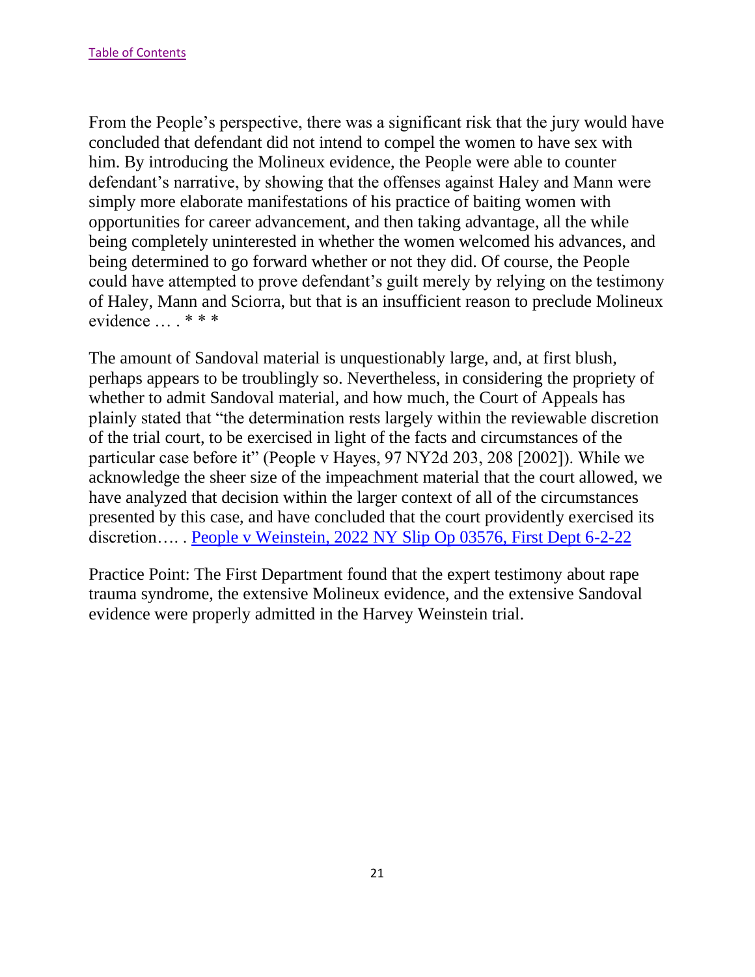From the People's perspective, there was a significant risk that the jury would have concluded that defendant did not intend to compel the women to have sex with him. By introducing the Molineux evidence, the People were able to counter defendant's narrative, by showing that the offenses against Haley and Mann were simply more elaborate manifestations of his practice of baiting women with opportunities for career advancement, and then taking advantage, all the while being completely uninterested in whether the women welcomed his advances, and being determined to go forward whether or not they did. Of course, the People could have attempted to prove defendant's guilt merely by relying on the testimony of Haley, Mann and Sciorra, but that is an insufficient reason to preclude Molineux evidence … . \* \* \*

The amount of Sandoval material is unquestionably large, and, at first blush, perhaps appears to be troublingly so. Nevertheless, in considering the propriety of whether to admit Sandoval material, and how much, the Court of Appeals has plainly stated that "the determination rests largely within the reviewable discretion of the trial court, to be exercised in light of the facts and circumstances of the particular case before it" (People v Hayes, 97 NY2d 203, 208 [2002]). While we acknowledge the sheer size of the impeachment material that the court allowed, we have analyzed that decision within the larger context of all of the circumstances presented by this case, and have concluded that the court providently exercised its discretion…. . [People v Weinstein, 2022 NY Slip Op 03576, First Dept 6-2-22](https://nycourts.gov/reporter/3dseries/2022/2022_03576.htm)

Practice Point: The First Department found that the expert testimony about rape trauma syndrome, the extensive Molineux evidence, and the extensive Sandoval evidence were properly admitted in the Harvey Weinstein trial.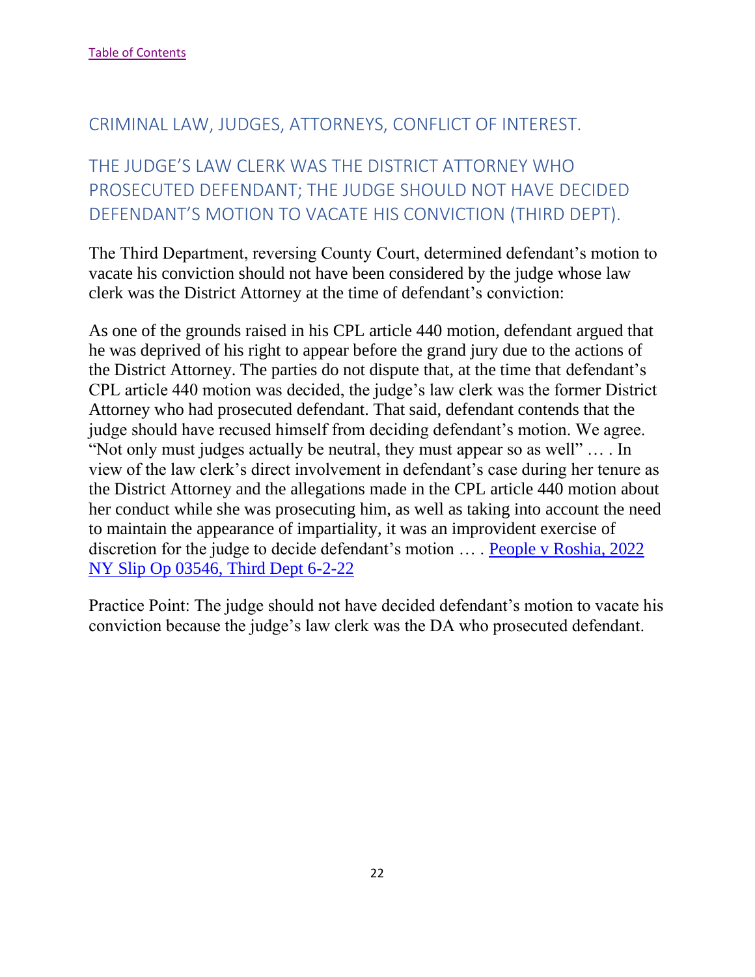## <span id="page-22-0"></span>CRIMINAL LAW, JUDGES, ATTORNEYS, CONFLICT OF INTEREST.

# <span id="page-22-1"></span>THE JUDGE'S LAW CLERK WAS THE DISTRICT ATTORNEY WHO PROSECUTED DEFENDANT; THE JUDGE SHOULD NOT HAVE DECIDED DEFENDANT'S MOTION TO VACATE HIS CONVICTION (THIRD DEPT).

The Third Department, reversing County Court, determined defendant's motion to vacate his conviction should not have been considered by the judge whose law clerk was the District Attorney at the time of defendant's conviction:

As one of the grounds raised in his CPL article 440 motion, defendant argued that he was deprived of his right to appear before the grand jury due to the actions of the District Attorney. The parties do not dispute that, at the time that defendant's CPL article 440 motion was decided, the judge's law clerk was the former District Attorney who had prosecuted defendant. That said, defendant contends that the judge should have recused himself from deciding defendant's motion. We agree. "Not only must judges actually be neutral, they must appear so as well" … . In view of the law clerk's direct involvement in defendant's case during her tenure as the District Attorney and the allegations made in the CPL article 440 motion about her conduct while she was prosecuting him, as well as taking into account the need to maintain the appearance of impartiality, it was an improvident exercise of discretion for the judge to decide defendant's motion … . [People v Roshia, 2022](https://nycourts.gov/reporter/3dseries/2022/2022_03546.htm)  [NY Slip Op 03546, Third Dept 6-2-22](https://nycourts.gov/reporter/3dseries/2022/2022_03546.htm)

Practice Point: The judge should not have decided defendant's motion to vacate his conviction because the judge's law clerk was the DA who prosecuted defendant.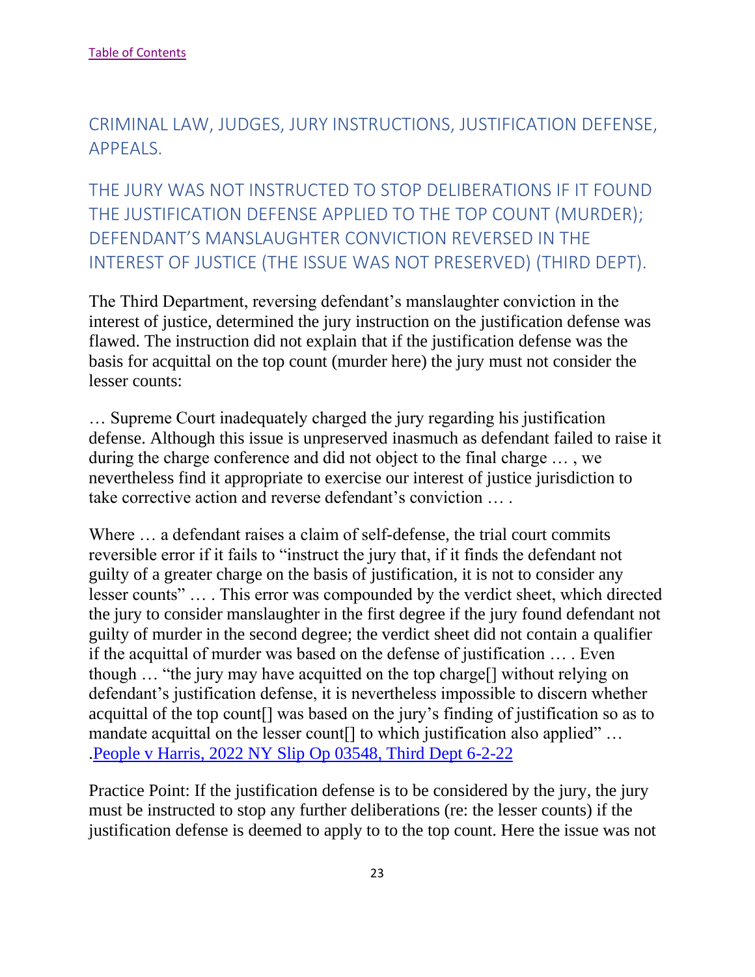<span id="page-23-0"></span>CRIMINAL LAW, JUDGES, JURY INSTRUCTIONS, JUSTIFICATION DEFENSE, APPEALS.

<span id="page-23-1"></span>THE JURY WAS NOT INSTRUCTED TO STOP DELIBERATIONS IF IT FOUND THE JUSTIFICATION DEFENSE APPLIED TO THE TOP COUNT (MURDER); DEFENDANT'S MANSLAUGHTER CONVICTION REVERSED IN THE INTEREST OF JUSTICE (THE ISSUE WAS NOT PRESERVED) (THIRD DEPT).

The Third Department, reversing defendant's manslaughter conviction in the interest of justice, determined the jury instruction on the justification defense was flawed. The instruction did not explain that if the justification defense was the basis for acquittal on the top count (murder here) the jury must not consider the lesser counts:

… Supreme Court inadequately charged the jury regarding his justification defense. Although this issue is unpreserved inasmuch as defendant failed to raise it during the charge conference and did not object to the final charge … , we nevertheless find it appropriate to exercise our interest of justice jurisdiction to take corrective action and reverse defendant's conviction … .

Where ... a defendant raises a claim of self-defense, the trial court commits reversible error if it fails to "instruct the jury that, if it finds the defendant not guilty of a greater charge on the basis of justification, it is not to consider any lesser counts" … . This error was compounded by the verdict sheet, which directed the jury to consider manslaughter in the first degree if the jury found defendant not guilty of murder in the second degree; the verdict sheet did not contain a qualifier if the acquittal of murder was based on the defense of justification … . Even though … "the jury may have acquitted on the top charge[] without relying on defendant's justification defense, it is nevertheless impossible to discern whether acquittal of the top count[] was based on the jury's finding of justification so as to mandate acquittal on the lesser count<sup>[]</sup> to which justification also applied" ... [.People v Harris, 2022 NY Slip Op 03548, Third Dept 6-2-22](https://nycourts.gov/reporter/3dseries/2022/2022_03548.htm)

Practice Point: If the justification defense is to be considered by the jury, the jury must be instructed to stop any further deliberations (re: the lesser counts) if the justification defense is deemed to apply to to the top count. Here the issue was not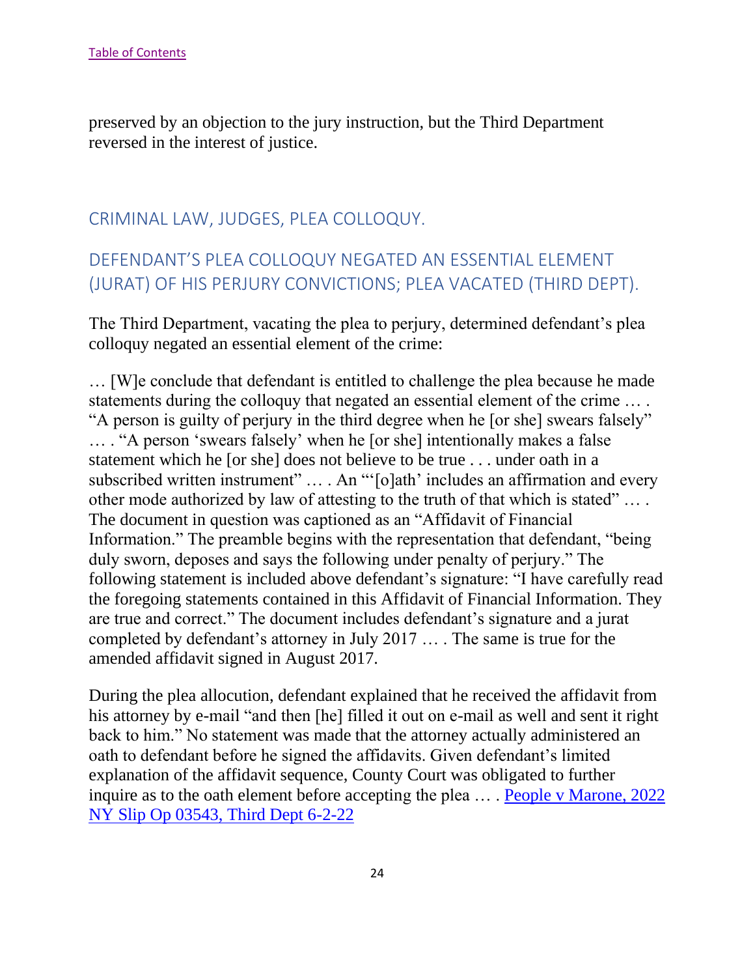preserved by an objection to the jury instruction, but the Third Department reversed in the interest of justice.

## <span id="page-24-0"></span>CRIMINAL LAW, JUDGES, PLEA COLLOQUY.

# <span id="page-24-1"></span>DEFENDANT'S PLEA COLLOQUY NEGATED AN ESSENTIAL ELEMENT (JURAT) OF HIS PERJURY CONVICTIONS; PLEA VACATED (THIRD DEPT).

The Third Department, vacating the plea to perjury, determined defendant's plea colloquy negated an essential element of the crime:

… [W]e conclude that defendant is entitled to challenge the plea because he made statements during the colloquy that negated an essential element of the crime … . "A person is guilty of perjury in the third degree when he [or she] swears falsely" … . "A person 'swears falsely' when he [or she] intentionally makes a false statement which he [or she] does not believe to be true . . . under oath in a subscribed written instrument" … . An "'[o]ath' includes an affirmation and every other mode authorized by law of attesting to the truth of that which is stated" … . The document in question was captioned as an "Affidavit of Financial Information." The preamble begins with the representation that defendant, "being duly sworn, deposes and says the following under penalty of perjury." The following statement is included above defendant's signature: "I have carefully read the foregoing statements contained in this Affidavit of Financial Information. They are true and correct." The document includes defendant's signature and a jurat completed by defendant's attorney in July 2017 … . The same is true for the amended affidavit signed in August 2017.

During the plea allocution, defendant explained that he received the affidavit from his attorney by e-mail "and then [he] filled it out on e-mail as well and sent it right back to him." No statement was made that the attorney actually administered an oath to defendant before he signed the affidavits. Given defendant's limited explanation of the affidavit sequence, County Court was obligated to further inquire as to the oath element before accepting the plea … . [People v Marone, 2022](https://nycourts.gov/reporter/3dseries/2022/2022_03543.htm)  [NY Slip Op 03543, Third Dept 6-2-22](https://nycourts.gov/reporter/3dseries/2022/2022_03543.htm)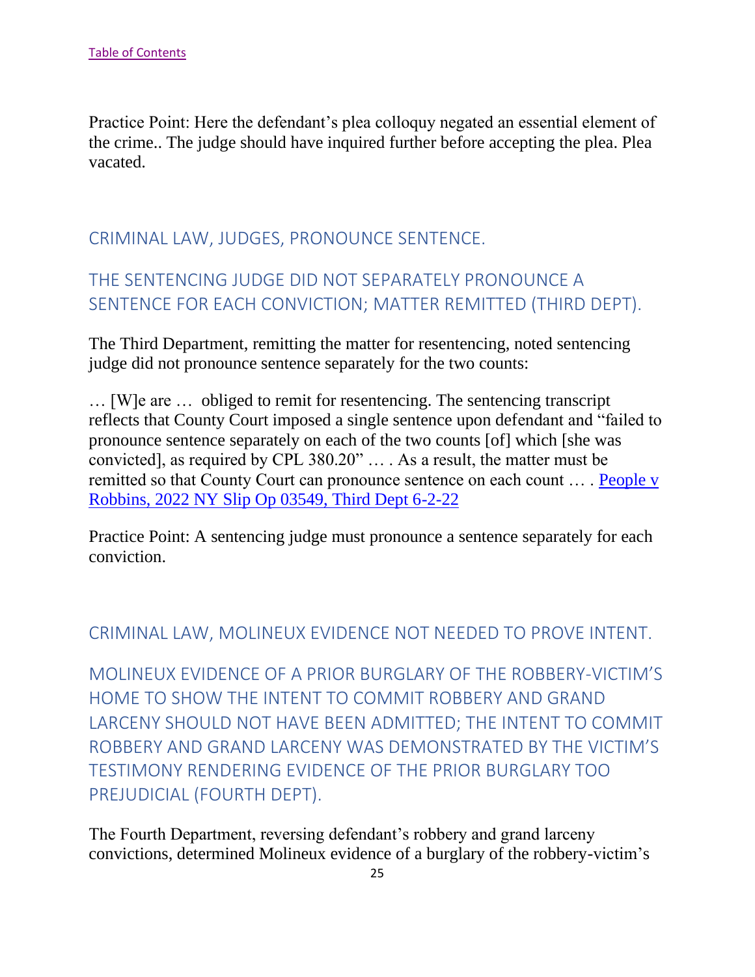Practice Point: Here the defendant's plea colloquy negated an essential element of the crime.. The judge should have inquired further before accepting the plea. Plea vacated.

## <span id="page-25-0"></span>CRIMINAL LAW, JUDGES, PRONOUNCE SENTENCE.

# <span id="page-25-1"></span>THE SENTENCING JUDGE DID NOT SEPARATELY PRONOUNCE A SENTENCE FOR EACH CONVICTION; MATTER REMITTED (THIRD DEPT).

The Third Department, remitting the matter for resentencing, noted sentencing judge did not pronounce sentence separately for the two counts:

… [W]e are … obliged to remit for resentencing. The sentencing transcript reflects that County Court imposed a single sentence upon defendant and "failed to pronounce sentence separately on each of the two counts [of] which [she was convicted], as required by CPL 380.20" … . As a result, the matter must be remitted so that County Court can pronounce sentence on each count … . [People v](https://nycourts.gov/reporter/3dseries/2022/2022_03549.htm)  [Robbins, 2022 NY Slip Op 03549, Third Dept 6-2-22](https://nycourts.gov/reporter/3dseries/2022/2022_03549.htm)

Practice Point: A sentencing judge must pronounce a sentence separately for each conviction.

#### <span id="page-25-2"></span>CRIMINAL LAW, MOLINEUX EVIDENCE NOT NEEDED TO PROVE INTENT.

<span id="page-25-3"></span>MOLINEUX EVIDENCE OF A PRIOR BURGLARY OF THE ROBBERY-VICTIM'S HOME TO SHOW THE INTENT TO COMMIT ROBBERY AND GRAND LARCENY SHOULD NOT HAVE BEEN ADMITTED; THE INTENT TO COMMIT ROBBERY AND GRAND LARCENY WAS DEMONSTRATED BY THE VICTIM'S TESTIMONY RENDERING EVIDENCE OF THE PRIOR BURGLARY TOO PREJUDICIAL (FOURTH DEPT).

The Fourth Department, reversing defendant's robbery and grand larceny convictions, determined Molineux evidence of a burglary of the robbery-victim's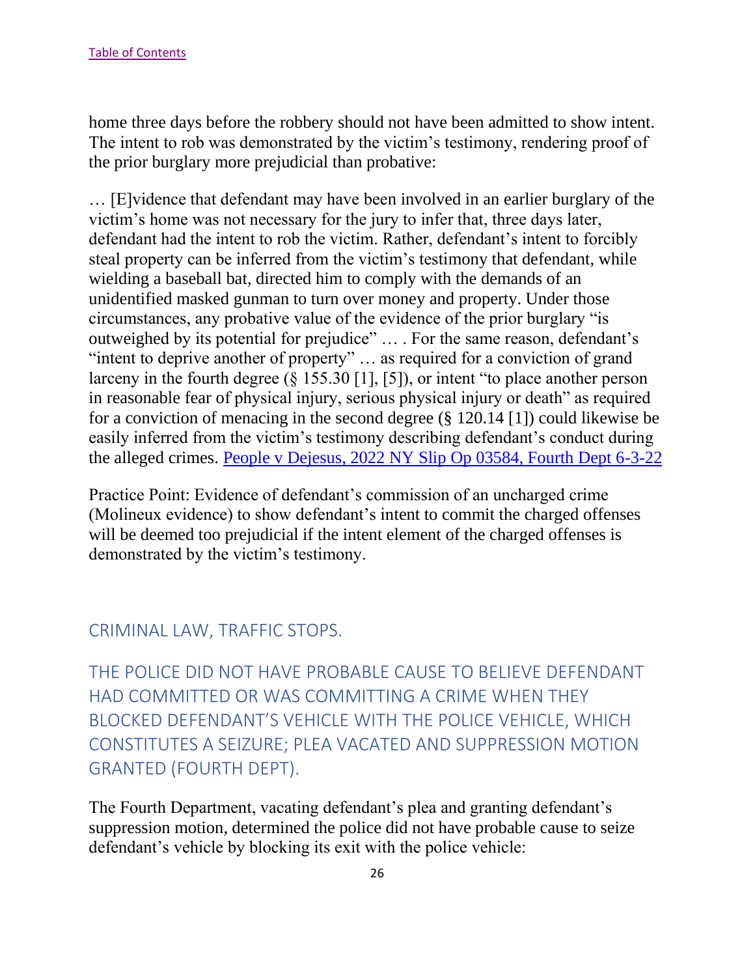home three days before the robbery should not have been admitted to show intent. The intent to rob was demonstrated by the victim's testimony, rendering proof of the prior burglary more prejudicial than probative:

… [E]vidence that defendant may have been involved in an earlier burglary of the victim's home was not necessary for the jury to infer that, three days later, defendant had the intent to rob the victim. Rather, defendant's intent to forcibly steal property can be inferred from the victim's testimony that defendant, while wielding a baseball bat, directed him to comply with the demands of an unidentified masked gunman to turn over money and property. Under those circumstances, any probative value of the evidence of the prior burglary "is outweighed by its potential for prejudice" … . For the same reason, defendant's "intent to deprive another of property" ... as required for a conviction of grand larceny in the fourth degree (§ 155.30 [1], [5]), or intent "to place another person in reasonable fear of physical injury, serious physical injury or death" as required for a conviction of menacing in the second degree (§ 120.14 [1]) could likewise be easily inferred from the victim's testimony describing defendant's conduct during the alleged crimes. [People v Dejesus, 2022 NY Slip Op 03584, Fourth Dept 6-3-22](https://nycourts.gov/reporter/3dseries/2022/2022_03584.htm)

Practice Point: Evidence of defendant's commission of an uncharged crime (Molineux evidence) to show defendant's intent to commit the charged offenses will be deemed too prejudicial if the intent element of the charged offenses is demonstrated by the victim's testimony.

## <span id="page-26-0"></span>CRIMINAL LAW, TRAFFIC STOPS.

<span id="page-26-1"></span>THE POLICE DID NOT HAVE PROBABLE CAUSE TO BELIEVE DEFENDANT HAD COMMITTED OR WAS COMMITTING A CRIME WHEN THEY BLOCKED DEFENDANT'S VEHICLE WITH THE POLICE VEHICLE, WHICH CONSTITUTES A SEIZURE; PLEA VACATED AND SUPPRESSION MOTION GRANTED (FOURTH DEPT).

The Fourth Department, vacating defendant's plea and granting defendant's suppression motion, determined the police did not have probable cause to seize defendant's vehicle by blocking its exit with the police vehicle: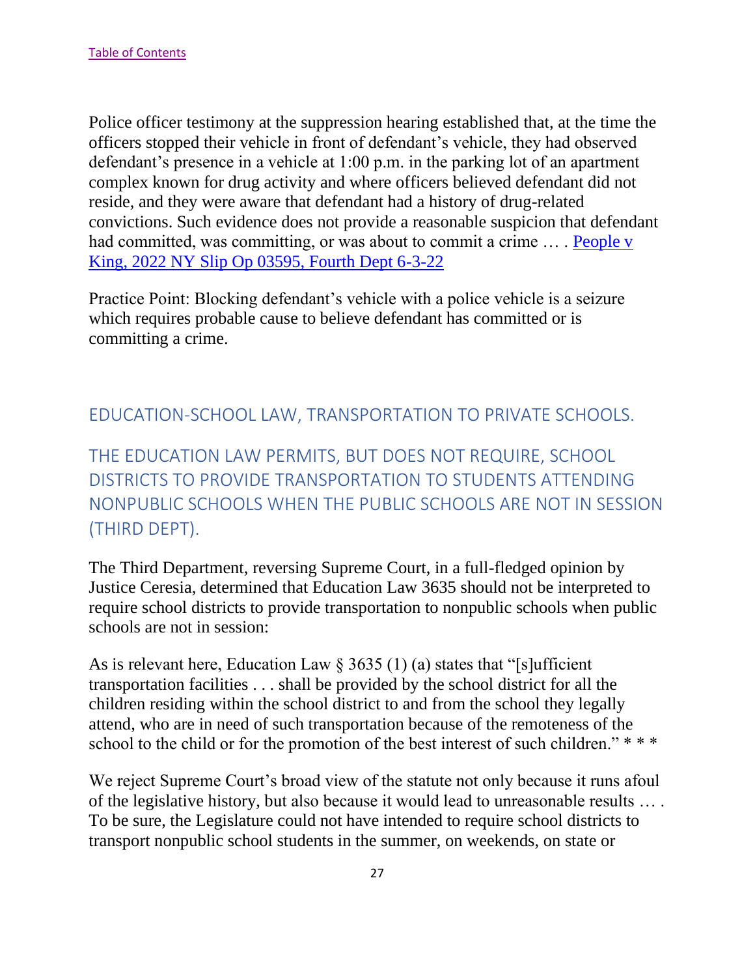Police officer testimony at the suppression hearing established that, at the time the officers stopped their vehicle in front of defendant's vehicle, they had observed defendant's presence in a vehicle at 1:00 p.m. in the parking lot of an apartment complex known for drug activity and where officers believed defendant did not reside, and they were aware that defendant had a history of drug-related convictions. Such evidence does not provide a reasonable suspicion that defendant had committed, was committing, or was about to commit a crime ... . People v [King, 2022 NY Slip Op 03595, Fourth Dept 6-3-22](https://nycourts.gov/reporter/3dseries/2022/2022_03606.htm)

Practice Point: Blocking defendant's vehicle with a police vehicle is a seizure which requires probable cause to believe defendant has committed or is committing a crime.

<span id="page-27-0"></span>EDUCATION-SCHOOL LAW, TRANSPORTATION TO PRIVATE SCHOOLS.

<span id="page-27-1"></span>THE EDUCATION LAW PERMITS, BUT DOES NOT REQUIRE, SCHOOL DISTRICTS TO PROVIDE TRANSPORTATION TO STUDENTS ATTENDING NONPUBLIC SCHOOLS WHEN THE PUBLIC SCHOOLS ARE NOT IN SESSION (THIRD DEPT).

The Third Department, reversing Supreme Court, in a full-fledged opinion by Justice Ceresia, determined that Education Law 3635 should not be interpreted to require school districts to provide transportation to nonpublic schools when public schools are not in session:

As is relevant here, Education Law  $\S 3635(1)$  (a) states that "[s]ufficient transportation facilities . . . shall be provided by the school district for all the children residing within the school district to and from the school they legally attend, who are in need of such transportation because of the remoteness of the school to the child or for the promotion of the best interest of such children." \*\*\*

We reject Supreme Court's broad view of the statute not only because it runs afoul of the legislative history, but also because it would lead to unreasonable results … . To be sure, the Legislature could not have intended to require school districts to transport nonpublic school students in the summer, on weekends, on state or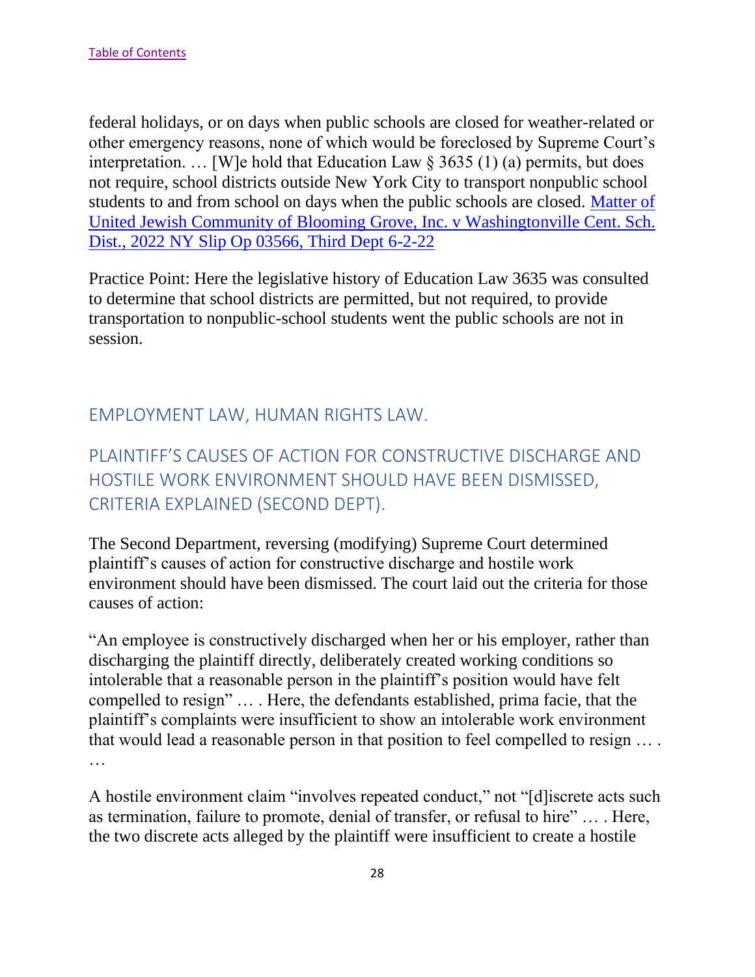federal holidays, or on days when public schools are closed for weather-related or other emergency reasons, none of which would be foreclosed by Supreme Court's interpretation. ... [W]e hold that Education Law  $\S 3635 (1)$  (a) permits, but does not require, school districts outside New York City to transport nonpublic school students to and from school on days when the public schools are closed. [Matter of](https://nycourts.gov/reporter/3dseries/2022/2022_03566.htm)  [United Jewish Community of Blooming Grove, Inc. v Washingtonville Cent. Sch.](https://nycourts.gov/reporter/3dseries/2022/2022_03566.htm)  [Dist., 2022 NY Slip Op 03566, Third Dept 6-2-22](https://nycourts.gov/reporter/3dseries/2022/2022_03566.htm)

Practice Point: Here the legislative history of Education Law 3635 was consulted to determine that school districts are permitted, but not required, to provide transportation to nonpublic-school students went the public schools are not in session.

# <span id="page-28-0"></span>EMPLOYMENT LAW, HUMAN RIGHTS LAW.

<span id="page-28-1"></span>PLAINTIFF'S CAUSES OF ACTION FOR CONSTRUCTIVE DISCHARGE AND HOSTILE WORK ENVIRONMENT SHOULD HAVE BEEN DISMISSED, CRITERIA EXPLAINED (SECOND DEPT).

The Second Department, reversing (modifying) Supreme Court determined plaintiff's causes of action for constructive discharge and hostile work environment should have been dismissed. The court laid out the criteria for those causes of action:

"An employee is constructively discharged when her or his employer, rather than discharging the plaintiff directly, deliberately created working conditions so intolerable that a reasonable person in the plaintiff's position would have felt compelled to resign" … . Here, the defendants established, prima facie, that the plaintiff's complaints were insufficient to show an intolerable work environment that would lead a reasonable person in that position to feel compelled to resign … . …

A hostile environment claim "involves repeated conduct," not "[d]iscrete acts such as termination, failure to promote, denial of transfer, or refusal to hire" … . Here, the two discrete acts alleged by the plaintiff were insufficient to create a hostile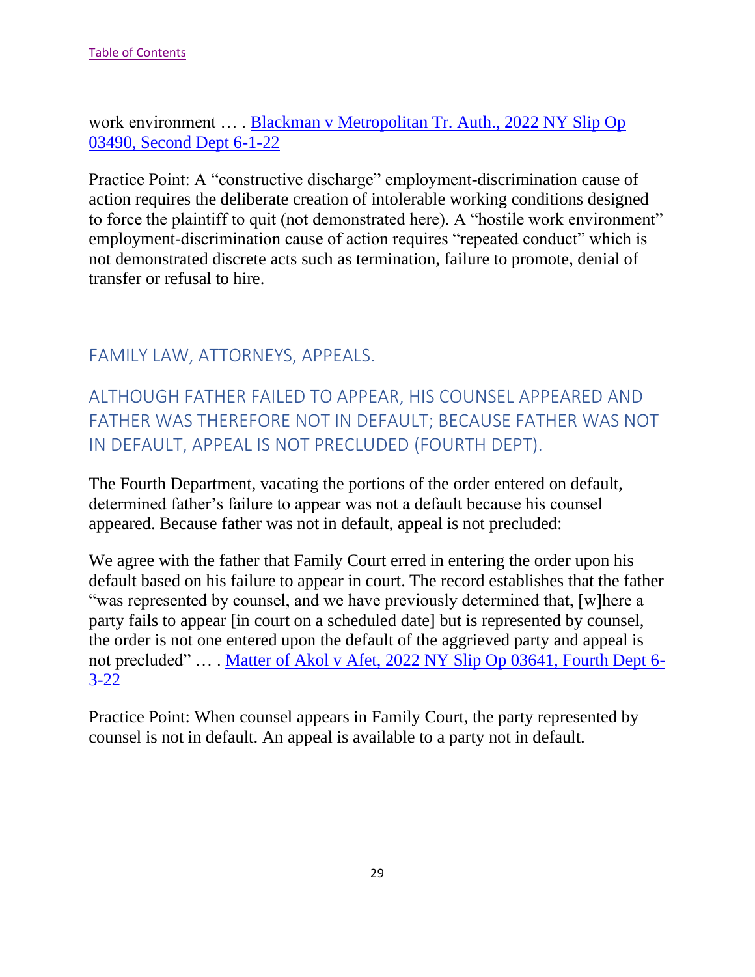work environment … . [Blackman v Metropolitan Tr. Auth., 2022 NY Slip Op](https://nycourts.gov/reporter/3dseries/2022/2022_03490.htm)  [03490, Second Dept 6-1-22](https://nycourts.gov/reporter/3dseries/2022/2022_03490.htm)

Practice Point: A "constructive discharge" employment-discrimination cause of action requires the deliberate creation of intolerable working conditions designed to force the plaintiff to quit (not demonstrated here). A "hostile work environment" employment-discrimination cause of action requires "repeated conduct" which is not demonstrated discrete acts such as termination, failure to promote, denial of transfer or refusal to hire.

## <span id="page-29-0"></span>FAMILY LAW, ATTORNEYS, APPEALS.

<span id="page-29-1"></span>ALTHOUGH FATHER FAILED TO APPEAR, HIS COUNSEL APPEARED AND FATHER WAS THEREFORE NOT IN DEFAULT; BECAUSE FATHER WAS NOT IN DEFAULT, APPEAL IS NOT PRECLUDED (FOURTH DEPT).

The Fourth Department, vacating the portions of the order entered on default, determined father's failure to appear was not a default because his counsel appeared. Because father was not in default, appeal is not precluded:

We agree with the father that Family Court erred in entering the order upon his default based on his failure to appear in court. The record establishes that the father "was represented by counsel, and we have previously determined that, [w]here a party fails to appear [in court on a scheduled date] but is represented by counsel, the order is not one entered upon the default of the aggrieved party and appeal is not precluded" … . Matter of [Akol v Afet, 2022 NY Slip Op 03641, Fourth Dept 6-](https://nycourts.gov/reporter/3dseries/2022/2022_03641.htm) [3-22](https://nycourts.gov/reporter/3dseries/2022/2022_03641.htm)

Practice Point: When counsel appears in Family Court, the party represented by counsel is not in default. An appeal is available to a party not in default.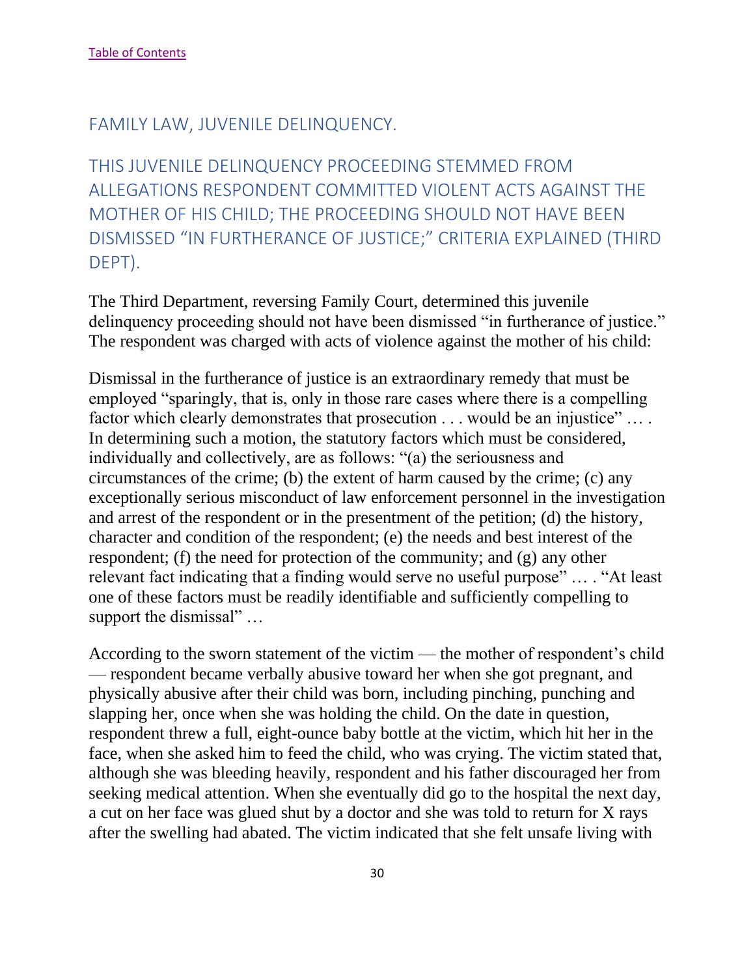#### <span id="page-30-0"></span>FAMILY LAW, JUVENILE DELINQUENCY.

<span id="page-30-1"></span>THIS JUVENILE DELINQUENCY PROCEEDING STEMMED FROM ALLEGATIONS RESPONDENT COMMITTED VIOLENT ACTS AGAINST THE MOTHER OF HIS CHILD; THE PROCEEDING SHOULD NOT HAVE BEEN DISMISSED "IN FURTHERANCE OF JUSTICE;" CRITERIA EXPLAINED (THIRD DEPT).

The Third Department, reversing Family Court, determined this juvenile delinquency proceeding should not have been dismissed "in furtherance of justice." The respondent was charged with acts of violence against the mother of his child:

Dismissal in the furtherance of justice is an extraordinary remedy that must be employed "sparingly, that is, only in those rare cases where there is a compelling factor which clearly demonstrates that prosecution . . . would be an injustice" ... . In determining such a motion, the statutory factors which must be considered, individually and collectively, are as follows: "(a) the seriousness and circumstances of the crime; (b) the extent of harm caused by the crime; (c) any exceptionally serious misconduct of law enforcement personnel in the investigation and arrest of the respondent or in the presentment of the petition; (d) the history, character and condition of the respondent; (e) the needs and best interest of the respondent; (f) the need for protection of the community; and (g) any other relevant fact indicating that a finding would serve no useful purpose" … . "At least one of these factors must be readily identifiable and sufficiently compelling to support the dismissal" …

According to the sworn statement of the victim — the mother of respondent's child — respondent became verbally abusive toward her when she got pregnant, and physically abusive after their child was born, including pinching, punching and slapping her, once when she was holding the child. On the date in question, respondent threw a full, eight-ounce baby bottle at the victim, which hit her in the face, when she asked him to feed the child, who was crying. The victim stated that, although she was bleeding heavily, respondent and his father discouraged her from seeking medical attention. When she eventually did go to the hospital the next day, a cut on her face was glued shut by a doctor and she was told to return for X rays after the swelling had abated. The victim indicated that she felt unsafe living with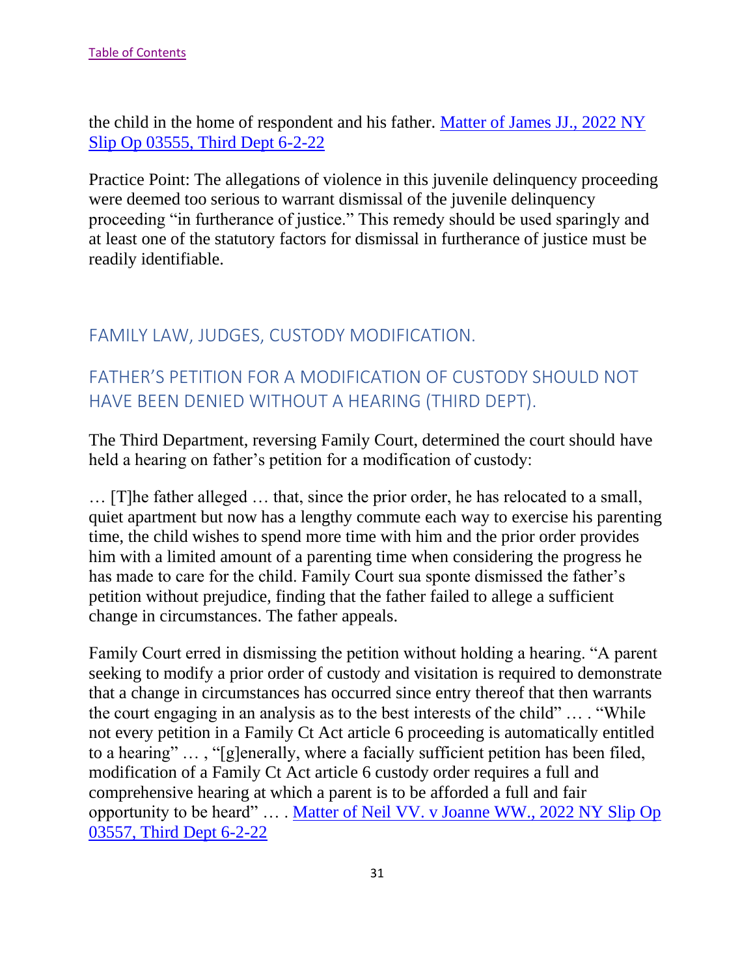the child in the home of respondent and his father. [Matter of James JJ., 2022 NY](https://nycourts.gov/reporter/3dseries/2022/2022_03555.htm)  [Slip Op 03555, Third Dept 6-2-22](https://nycourts.gov/reporter/3dseries/2022/2022_03555.htm)

Practice Point: The allegations of violence in this juvenile delinquency proceeding were deemed too serious to warrant dismissal of the juvenile delinquency proceeding "in furtherance of justice." This remedy should be used sparingly and at least one of the statutory factors for dismissal in furtherance of justice must be readily identifiable.

# <span id="page-31-0"></span>FAMILY LAW, JUDGES, CUSTODY MODIFICATION.

# <span id="page-31-1"></span>FATHER'S PETITION FOR A MODIFICATION OF CUSTODY SHOULD NOT HAVE BEEN DENIED WITHOUT A HEARING (THIRD DEPT).

The Third Department, reversing Family Court, determined the court should have held a hearing on father's petition for a modification of custody:

… [T]he father alleged … that, since the prior order, he has relocated to a small, quiet apartment but now has a lengthy commute each way to exercise his parenting time, the child wishes to spend more time with him and the prior order provides him with a limited amount of a parenting time when considering the progress he has made to care for the child. Family Court sua sponte dismissed the father's petition without prejudice, finding that the father failed to allege a sufficient change in circumstances. The father appeals.

Family Court erred in dismissing the petition without holding a hearing. "A parent seeking to modify a prior order of custody and visitation is required to demonstrate that a change in circumstances has occurred since entry thereof that then warrants the court engaging in an analysis as to the best interests of the child" … . "While not every petition in a Family Ct Act article 6 proceeding is automatically entitled to a hearing" … , "[g]enerally, where a facially sufficient petition has been filed, modification of a Family Ct Act article 6 custody order requires a full and comprehensive hearing at which a parent is to be afforded a full and fair opportunity to be heard" … . [Matter of Neil VV. v Joanne WW., 2022 NY Slip Op](https://nycourts.gov/reporter/3dseries/2022/2022_03557.htm)  [03557, Third Dept 6-2-22](https://nycourts.gov/reporter/3dseries/2022/2022_03557.htm)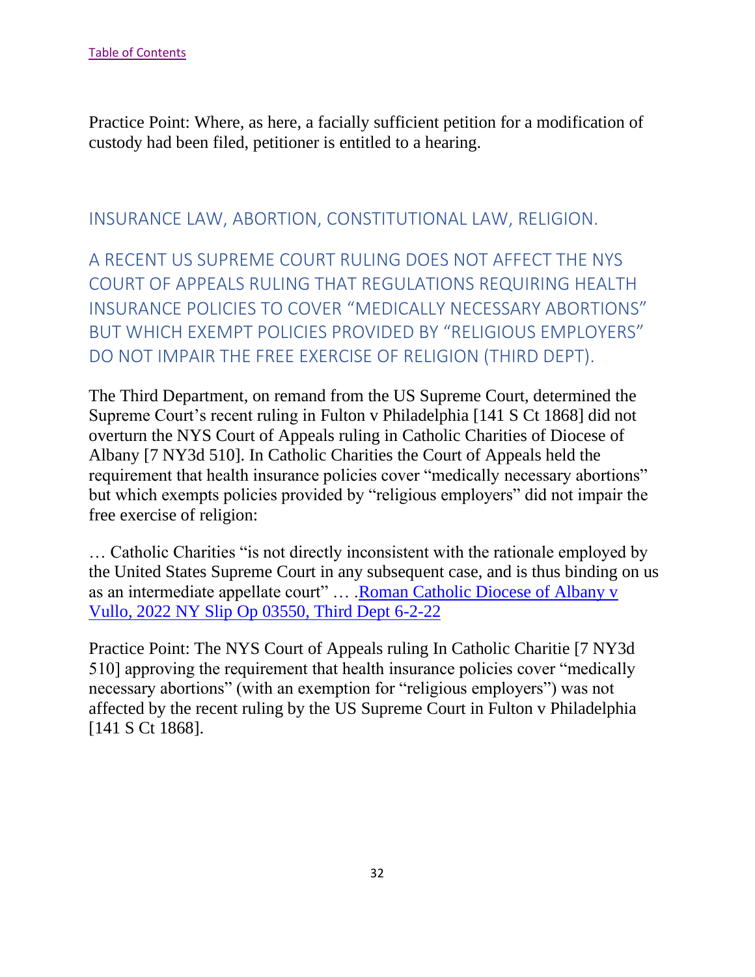Practice Point: Where, as here, a facially sufficient petition for a modification of custody had been filed, petitioner is entitled to a hearing.

## <span id="page-32-0"></span>INSURANCE LAW, ABORTION, CONSTITUTIONAL LAW, RELIGION.

<span id="page-32-1"></span>A RECENT US SUPREME COURT RULING DOES NOT AFFECT THE NYS COURT OF APPEALS RULING THAT REGULATIONS REQUIRING HEALTH INSURANCE POLICIES TO COVER "MEDICALLY NECESSARY ABORTIONS" BUT WHICH EXEMPT POLICIES PROVIDED BY "RELIGIOUS EMPLOYERS" DO NOT IMPAIR THE FREE EXERCISE OF RELIGION (THIRD DEPT).

The Third Department, on remand from the US Supreme Court, determined the Supreme Court's recent ruling in Fulton v Philadelphia [141 S Ct 1868] did not overturn the NYS Court of Appeals ruling in Catholic Charities of Diocese of Albany [7 NY3d 510]. In Catholic Charities the Court of Appeals held the requirement that health insurance policies cover "medically necessary abortions" but which exempts policies provided by "religious employers" did not impair the free exercise of religion:

… Catholic Charities "is not directly inconsistent with the rationale employed by the United States Supreme Court in any subsequent case, and is thus binding on us as an intermediate appellate court" … [.Roman Catholic Diocese of Albany v](https://nycourts.gov/reporter/3dseries/2022/2022_03550.htm)  [Vullo, 2022 NY Slip Op 03550, Third Dept 6-2-22](https://nycourts.gov/reporter/3dseries/2022/2022_03550.htm)

Practice Point: The NYS Court of Appeals ruling In Catholic Charitie [7 NY3d 510] approving the requirement that health insurance policies cover "medically necessary abortions" (with an exemption for "religious employers") was not affected by the recent ruling by the US Supreme Court in Fulton v Philadelphia [141 S Ct 1868].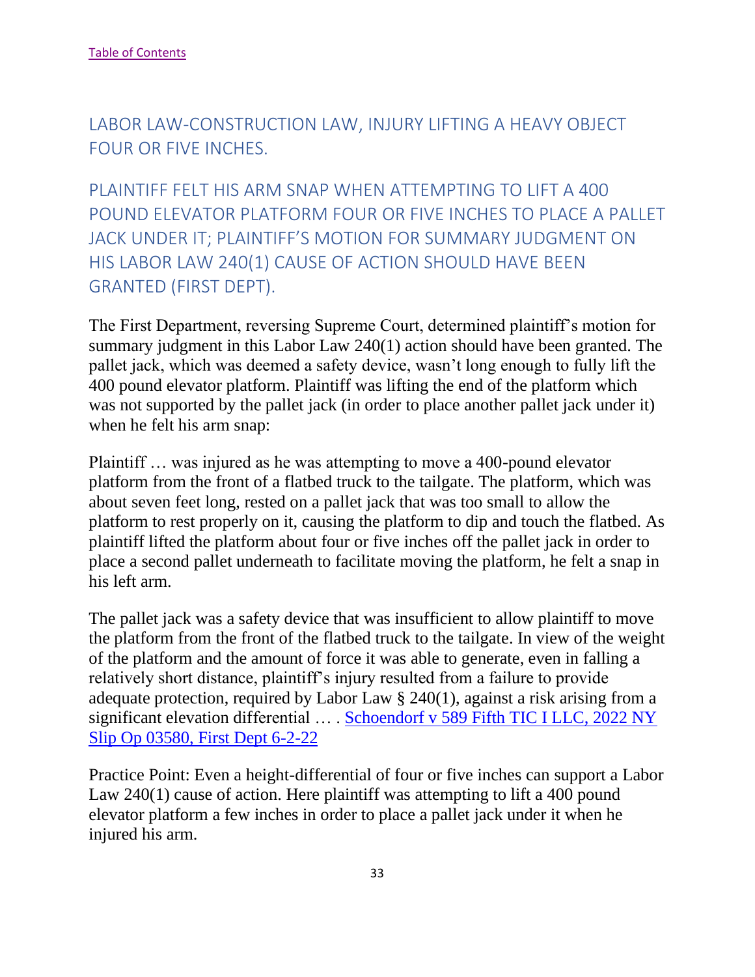<span id="page-33-0"></span>LABOR LAW-CONSTRUCTION LAW, INJURY LIFTING A HEAVY OBJECT FOUR OR FIVE INCHES.

<span id="page-33-1"></span>PLAINTIFF FELT HIS ARM SNAP WHEN ATTEMPTING TO LIFT A 400 POUND ELEVATOR PLATFORM FOUR OR FIVE INCHES TO PLACE A PALLET JACK UNDER IT; PLAINTIFF'S MOTION FOR SUMMARY JUDGMENT ON HIS LABOR LAW 240(1) CAUSE OF ACTION SHOULD HAVE BEEN GRANTED (FIRST DEPT).

The First Department, reversing Supreme Court, determined plaintiff's motion for summary judgment in this Labor Law 240(1) action should have been granted. The pallet jack, which was deemed a safety device, wasn't long enough to fully lift the 400 pound elevator platform. Plaintiff was lifting the end of the platform which was not supported by the pallet jack (in order to place another pallet jack under it) when he felt his arm snap:

Plaintiff … was injured as he was attempting to move a 400-pound elevator platform from the front of a flatbed truck to the tailgate. The platform, which was about seven feet long, rested on a pallet jack that was too small to allow the platform to rest properly on it, causing the platform to dip and touch the flatbed. As plaintiff lifted the platform about four or five inches off the pallet jack in order to place a second pallet underneath to facilitate moving the platform, he felt a snap in his left arm.

The pallet jack was a safety device that was insufficient to allow plaintiff to move the platform from the front of the flatbed truck to the tailgate. In view of the weight of the platform and the amount of force it was able to generate, even in falling a relatively short distance, plaintiff's injury resulted from a failure to provide adequate protection, required by Labor Law § 240(1), against a risk arising from a significant elevation differential … . [Schoendorf v 589 Fifth TIC I LLC, 2022 NY](https://nycourts.gov/reporter/3dseries/2022/2022_03580.htm)  [Slip Op 03580, First Dept 6-2-22](https://nycourts.gov/reporter/3dseries/2022/2022_03580.htm)

Practice Point: Even a height-differential of four or five inches can support a Labor Law 240(1) cause of action. Here plaintiff was attempting to lift a 400 pound elevator platform a few inches in order to place a pallet jack under it when he injured his arm.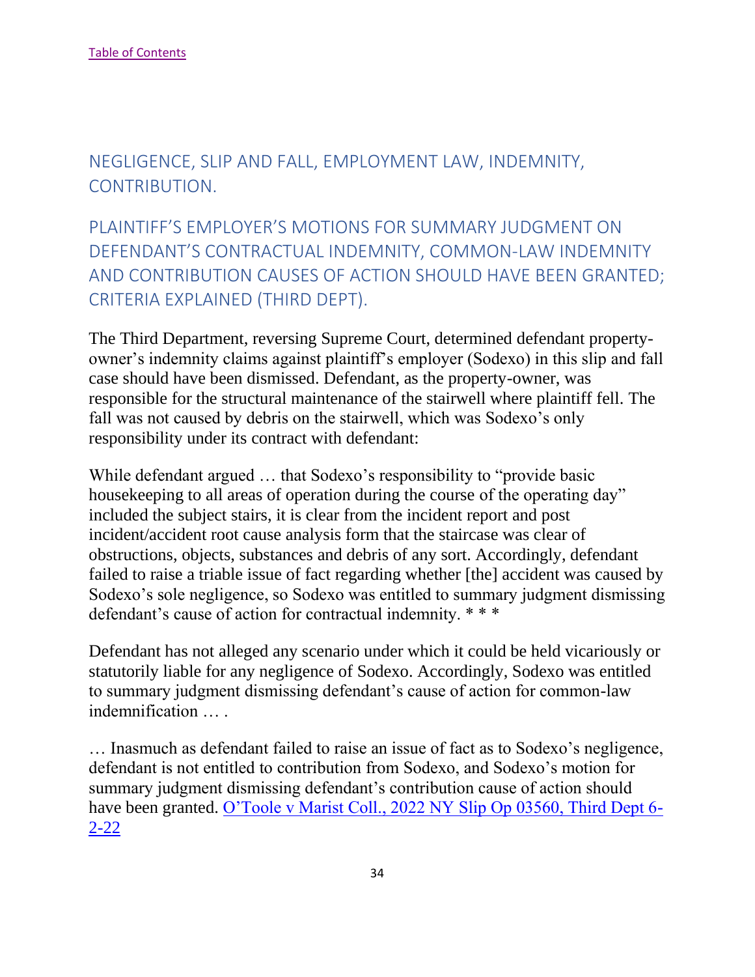<span id="page-34-0"></span>NEGLIGENCE, SLIP AND FALL, EMPLOYMENT LAW, INDEMNITY, CONTRIBUTION.

<span id="page-34-1"></span>PLAINTIFF'S EMPLOYER'S MOTIONS FOR SUMMARY JUDGMENT ON DEFENDANT'S CONTRACTUAL INDEMNITY, COMMON-LAW INDEMNITY AND CONTRIBUTION CAUSES OF ACTION SHOULD HAVE BEEN GRANTED; CRITERIA EXPLAINED (THIRD DEPT).

The Third Department, reversing Supreme Court, determined defendant propertyowner's indemnity claims against plaintiff's employer (Sodexo) in this slip and fall case should have been dismissed. Defendant, as the property-owner, was responsible for the structural maintenance of the stairwell where plaintiff fell. The fall was not caused by debris on the stairwell, which was Sodexo's only responsibility under its contract with defendant:

While defendant argued … that Sodexo's responsibility to "provide basic housekeeping to all areas of operation during the course of the operating day" included the subject stairs, it is clear from the incident report and post incident/accident root cause analysis form that the staircase was clear of obstructions, objects, substances and debris of any sort. Accordingly, defendant failed to raise a triable issue of fact regarding whether [the] accident was caused by Sodexo's sole negligence, so Sodexo was entitled to summary judgment dismissing defendant's cause of action for contractual indemnity. \* \* \*

Defendant has not alleged any scenario under which it could be held vicariously or statutorily liable for any negligence of Sodexo. Accordingly, Sodexo was entitled to summary judgment dismissing defendant's cause of action for common-law indemnification … .

… Inasmuch as defendant failed to raise an issue of fact as to Sodexo's negligence, defendant is not entitled to contribution from Sodexo, and Sodexo's motion for summary judgment dismissing defendant's contribution cause of action should have been granted. [O'Toole v Marist Coll., 2022 NY Slip Op 03560, Third Dept 6-](https://nycourts.gov/reporter/3dseries/2022/2022_03560.htm)  $2 - 22$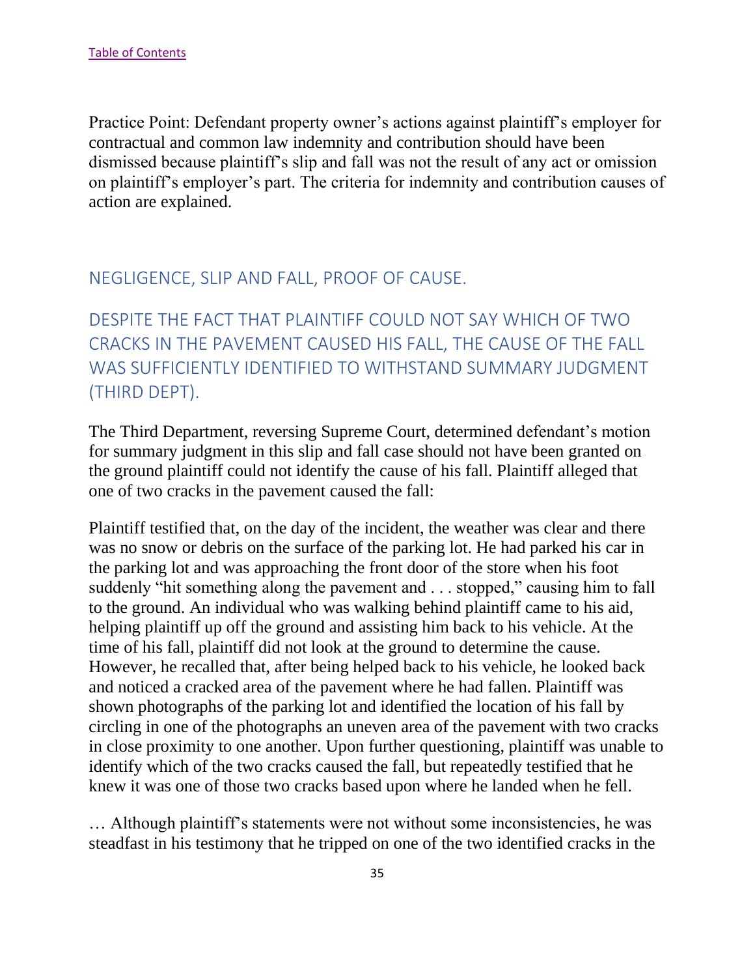Practice Point: Defendant property owner's actions against plaintiff's employer for contractual and common law indemnity and contribution should have been dismissed because plaintiff's slip and fall was not the result of any act or omission on plaintiff's employer's part. The criteria for indemnity and contribution causes of action are explained.

## <span id="page-35-0"></span>NEGLIGENCE, SLIP AND FALL, PROOF OF CAUSE.

<span id="page-35-1"></span>DESPITE THE FACT THAT PLAINTIFF COULD NOT SAY WHICH OF TWO CRACKS IN THE PAVEMENT CAUSED HIS FALL, THE CAUSE OF THE FALL WAS SUFFICIENTLY IDENTIFIED TO WITHSTAND SUMMARY JUDGMENT (THIRD DEPT).

The Third Department, reversing Supreme Court, determined defendant's motion for summary judgment in this slip and fall case should not have been granted on the ground plaintiff could not identify the cause of his fall. Plaintiff alleged that one of two cracks in the pavement caused the fall:

Plaintiff testified that, on the day of the incident, the weather was clear and there was no snow or debris on the surface of the parking lot. He had parked his car in the parking lot and was approaching the front door of the store when his foot suddenly "hit something along the pavement and . . . stopped," causing him to fall to the ground. An individual who was walking behind plaintiff came to his aid, helping plaintiff up off the ground and assisting him back to his vehicle. At the time of his fall, plaintiff did not look at the ground to determine the cause. However, he recalled that, after being helped back to his vehicle, he looked back and noticed a cracked area of the pavement where he had fallen. Plaintiff was shown photographs of the parking lot and identified the location of his fall by circling in one of the photographs an uneven area of the pavement with two cracks in close proximity to one another. Upon further questioning, plaintiff was unable to identify which of the two cracks caused the fall, but repeatedly testified that he knew it was one of those two cracks based upon where he landed when he fell.

… Although plaintiff's statements were not without some inconsistencies, he was steadfast in his testimony that he tripped on one of the two identified cracks in the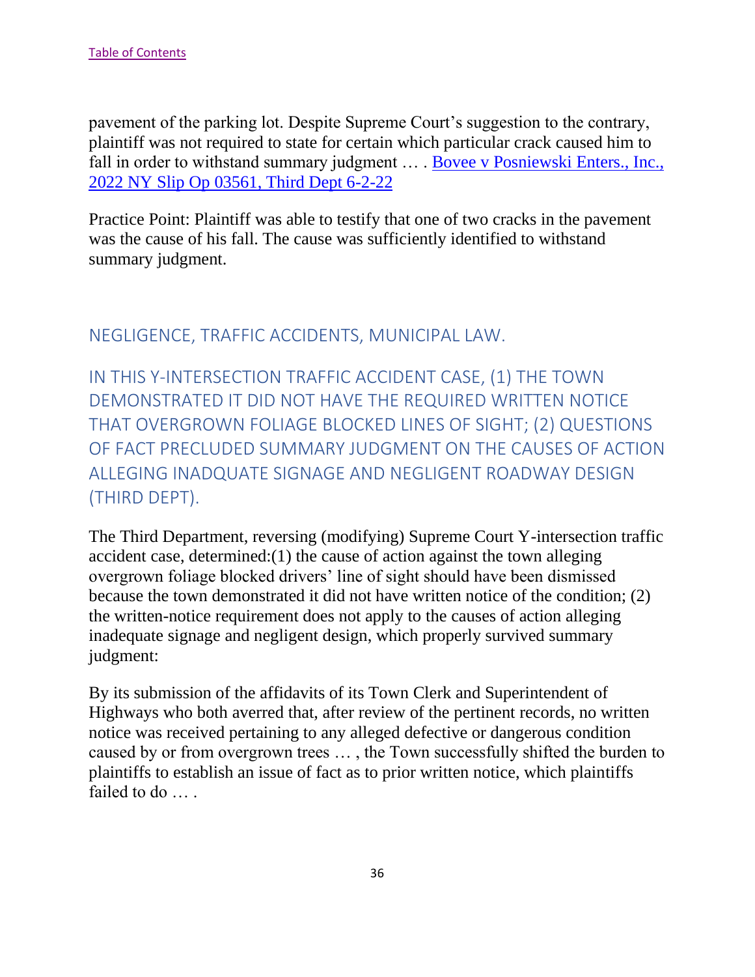pavement of the parking lot. Despite Supreme Court's suggestion to the contrary, plaintiff was not required to state for certain which particular crack caused him to fall in order to withstand summary judgment … . [Bovee v Posniewski Enters., Inc.,](https://nycourts.gov/reporter/3dseries/2022/2022_03561.htm)  [2022 NY Slip Op 03561, Third Dept 6-2-22](https://nycourts.gov/reporter/3dseries/2022/2022_03561.htm)

Practice Point: Plaintiff was able to testify that one of two cracks in the pavement was the cause of his fall. The cause was sufficiently identified to withstand summary judgment.

<span id="page-36-0"></span>NEGLIGENCE, TRAFFIC ACCIDENTS, MUNICIPAL LAW.

<span id="page-36-1"></span>IN THIS Y-INTERSECTION TRAFFIC ACCIDENT CASE, (1) THE TOWN DEMONSTRATED IT DID NOT HAVE THE REQUIRED WRITTEN NOTICE THAT OVERGROWN FOLIAGE BLOCKED LINES OF SIGHT; (2) QUESTIONS OF FACT PRECLUDED SUMMARY JUDGMENT ON THE CAUSES OF ACTION ALLEGING INADQUATE SIGNAGE AND NEGLIGENT ROADWAY DESIGN (THIRD DEPT).

The Third Department, reversing (modifying) Supreme Court Y-intersection traffic accident case, determined:(1) the cause of action against the town alleging overgrown foliage blocked drivers' line of sight should have been dismissed because the town demonstrated it did not have written notice of the condition; (2) the written-notice requirement does not apply to the causes of action alleging inadequate signage and negligent design, which properly survived summary judgment:

By its submission of the affidavits of its Town Clerk and Superintendent of Highways who both averred that, after review of the pertinent records, no written notice was received pertaining to any alleged defective or dangerous condition caused by or from overgrown trees … , the Town successfully shifted the burden to plaintiffs to establish an issue of fact as to prior written notice, which plaintiffs failed to do …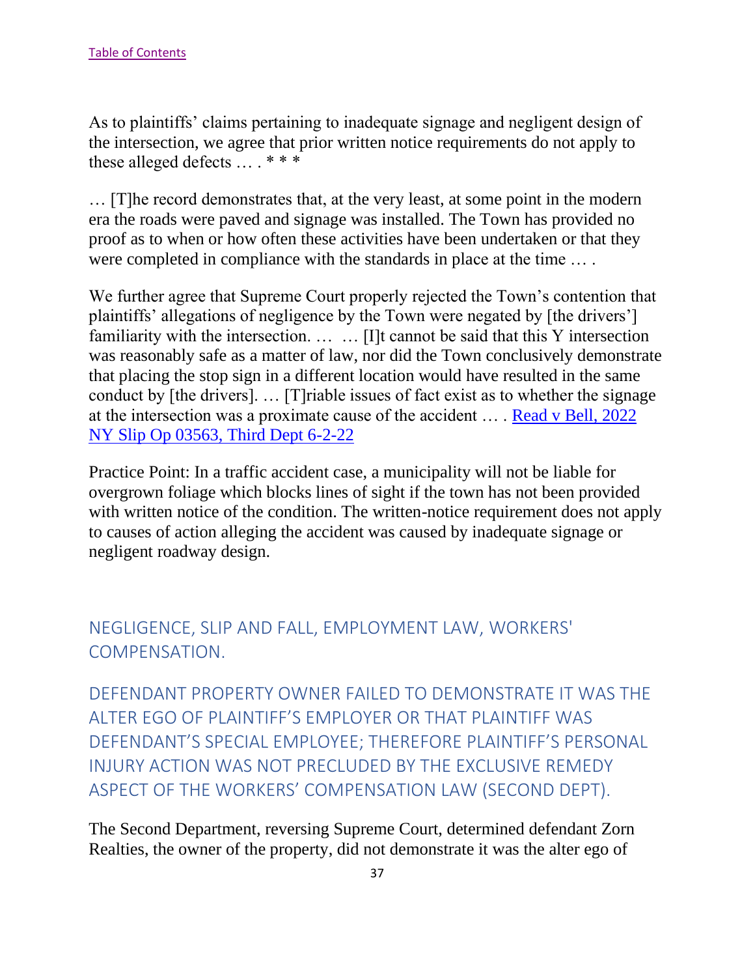As to plaintiffs' claims pertaining to inadequate signage and negligent design of the intersection, we agree that prior written notice requirements do not apply to these alleged defects … . \* \* \*

… [T]he record demonstrates that, at the very least, at some point in the modern era the roads were paved and signage was installed. The Town has provided no proof as to when or how often these activities have been undertaken or that they were completed in compliance with the standards in place at the time … .

We further agree that Supreme Court properly rejected the Town's contention that plaintiffs' allegations of negligence by the Town were negated by [the drivers'] familiarity with the intersection. … … [I]t cannot be said that this Y intersection was reasonably safe as a matter of law, nor did the Town conclusively demonstrate that placing the stop sign in a different location would have resulted in the same conduct by [the drivers]. … [T]riable issues of fact exist as to whether the signage at the intersection was a proximate cause of the accident … . [Read v Bell, 2022](https://nycourts.gov/reporter/3dseries/2022/2022_03563.htm)  [NY Slip Op 03563, Third Dept 6-2-22](https://nycourts.gov/reporter/3dseries/2022/2022_03563.htm)

Practice Point: In a traffic accident case, a municipality will not be liable for overgrown foliage which blocks lines of sight if the town has not been provided with written notice of the condition. The written-notice requirement does not apply to causes of action alleging the accident was caused by inadequate signage or negligent roadway design.

# <span id="page-37-0"></span>NEGLIGENCE, SLIP AND FALL, EMPLOYMENT LAW, WORKERS' COMPENSATION.

<span id="page-37-1"></span>DEFENDANT PROPERTY OWNER FAILED TO DEMONSTRATE IT WAS THE ALTER EGO OF PLAINTIFF'S EMPLOYER OR THAT PLAINTIFF WAS DEFENDANT'S SPECIAL EMPLOYEE; THEREFORE PLAINTIFF'S PERSONAL INJURY ACTION WAS NOT PRECLUDED BY THE EXCLUSIVE REMEDY ASPECT OF THE WORKERS' COMPENSATION LAW (SECOND DEPT).

The Second Department, reversing Supreme Court, determined defendant Zorn Realties, the owner of the property, did not demonstrate it was the alter ego of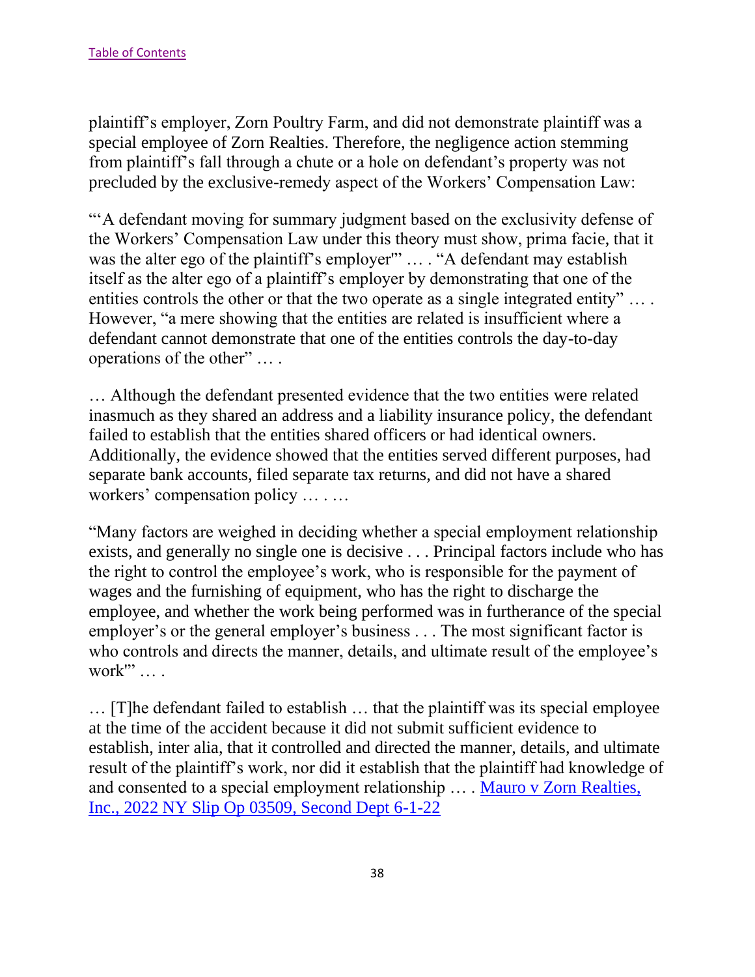plaintiff's employer, Zorn Poultry Farm, and did not demonstrate plaintiff was a special employee of Zorn Realties. Therefore, the negligence action stemming from plaintiff's fall through a chute or a hole on defendant's property was not precluded by the exclusive-remedy aspect of the Workers' Compensation Law:

"'A defendant moving for summary judgment based on the exclusivity defense of the Workers' Compensation Law under this theory must show, prima facie, that it was the alter ego of the plaintiff's employer" ... . "A defendant may establish itself as the alter ego of a plaintiff's employer by demonstrating that one of the entities controls the other or that the two operate as a single integrated entity" … . However, "a mere showing that the entities are related is insufficient where a defendant cannot demonstrate that one of the entities controls the day-to-day operations of the other" … .

… Although the defendant presented evidence that the two entities were related inasmuch as they shared an address and a liability insurance policy, the defendant failed to establish that the entities shared officers or had identical owners. Additionally, the evidence showed that the entities served different purposes, had separate bank accounts, filed separate tax returns, and did not have a shared workers' compensation policy … . …

"Many factors are weighed in deciding whether a special employment relationship exists, and generally no single one is decisive . . . Principal factors include who has the right to control the employee's work, who is responsible for the payment of wages and the furnishing of equipment, who has the right to discharge the employee, and whether the work being performed was in furtherance of the special employer's or the general employer's business . . . The most significant factor is who controls and directs the manner, details, and ultimate result of the employee's work"' ... .

… [T]he defendant failed to establish … that the plaintiff was its special employee at the time of the accident because it did not submit sufficient evidence to establish, inter alia, that it controlled and directed the manner, details, and ultimate result of the plaintiff's work, nor did it establish that the plaintiff had knowledge of and consented to a special employment relationship … . [Mauro v Zorn Realties,](https://nycourts.gov/reporter/3dseries/2022/2022_03509.htm)  [Inc., 2022 NY Slip Op 03509, Second Dept 6-1-22](https://nycourts.gov/reporter/3dseries/2022/2022_03509.htm)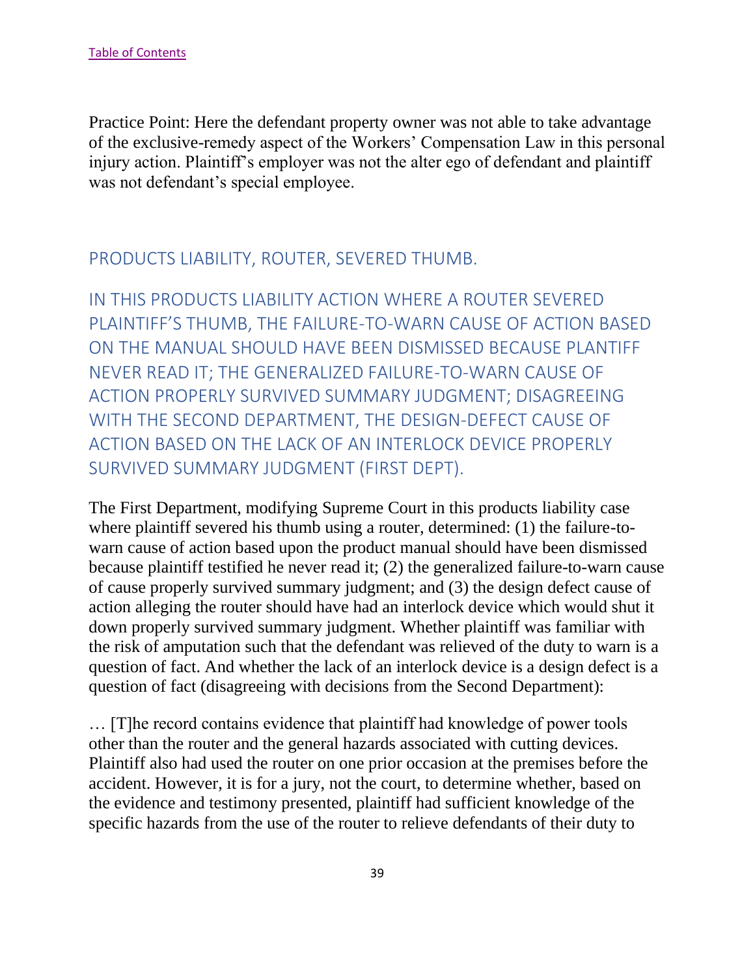Practice Point: Here the defendant property owner was not able to take advantage of the exclusive-remedy aspect of the Workers' Compensation Law in this personal injury action. Plaintiff's employer was not the alter ego of defendant and plaintiff was not defendant's special employee.

## <span id="page-39-0"></span>PRODUCTS LIABILITY, ROUTER, SEVERED THUMB.

<span id="page-39-1"></span>IN THIS PRODUCTS LIABILITY ACTION WHERE A ROUTER SEVERED PLAINTIFF'S THUMB, THE FAILURE-TO-WARN CAUSE OF ACTION BASED ON THE MANUAL SHOULD HAVE BEEN DISMISSED BECAUSE PLANTIFF NEVER READ IT; THE GENERALIZED FAILURE-TO-WARN CAUSE OF ACTION PROPERLY SURVIVED SUMMARY JUDGMENT; DISAGREEING WITH THE SECOND DEPARTMENT, THE DESIGN-DEFECT CAUSE OF ACTION BASED ON THE LACK OF AN INTERLOCK DEVICE PROPERLY SURVIVED SUMMARY JUDGMENT (FIRST DEPT).

The First Department, modifying Supreme Court in this products liability case where plaintiff severed his thumb using a router, determined: (1) the failure-towarn cause of action based upon the product manual should have been dismissed because plaintiff testified he never read it; (2) the generalized failure-to-warn cause of cause properly survived summary judgment; and (3) the design defect cause of action alleging the router should have had an interlock device which would shut it down properly survived summary judgment. Whether plaintiff was familiar with the risk of amputation such that the defendant was relieved of the duty to warn is a question of fact. And whether the lack of an interlock device is a design defect is a question of fact (disagreeing with decisions from the Second Department):

… [T]he record contains evidence that plaintiff had knowledge of power tools other than the router and the general hazards associated with cutting devices. Plaintiff also had used the router on one prior occasion at the premises before the accident. However, it is for a jury, not the court, to determine whether, based on the evidence and testimony presented, plaintiff had sufficient knowledge of the specific hazards from the use of the router to relieve defendants of their duty to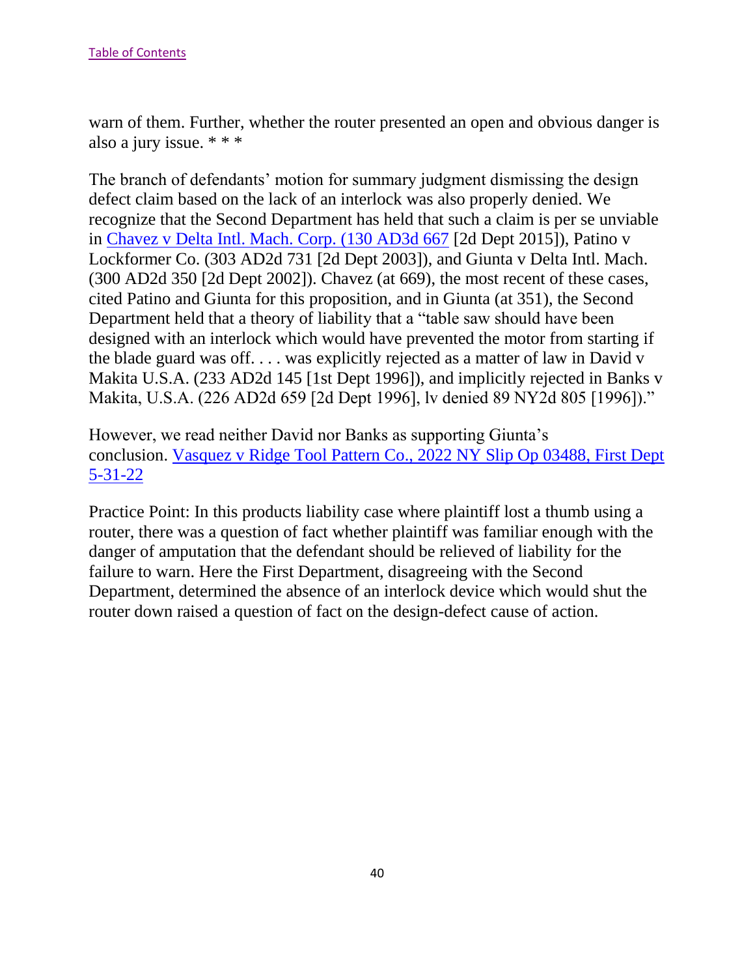warn of them. Further, whether the router presented an open and obvious danger is also a jury issue. \* \* \*

The branch of defendants' motion for summary judgment dismissing the design defect claim based on the lack of an interlock was also properly denied. We recognize that the Second Department has held that such a claim is per se unviable in [Chavez v Delta Intl. Mach. Corp. \(130 AD3d 667](https://nycourts.gov/reporter/3dseries/2015/2015_05903.htm) [2d Dept 2015]), Patino v Lockformer Co. (303 AD2d 731 [2d Dept 2003]), and Giunta v Delta Intl. Mach. (300 AD2d 350 [2d Dept 2002]). Chavez (at 669), the most recent of these cases, cited Patino and Giunta for this proposition, and in Giunta (at 351), the Second Department held that a theory of liability that a "table saw should have been designed with an interlock which would have prevented the motor from starting if the blade guard was off. . . . was explicitly rejected as a matter of law in David v Makita U.S.A. (233 AD2d 145 [1st Dept 1996]), and implicitly rejected in Banks v Makita, U.S.A. (226 AD2d 659 [2d Dept 1996], lv denied 89 NY2d 805 [1996])."

However, we read neither David nor Banks as supporting Giunta's conclusion. [Vasquez v Ridge Tool Pattern Co., 2022 NY Slip Op 03488, First Dept](https://nycourts.gov/reporter/3dseries/2022/2022_03488.htm)  [5-31-22](https://nycourts.gov/reporter/3dseries/2022/2022_03488.htm)

Practice Point: In this products liability case where plaintiff lost a thumb using a router, there was a question of fact whether plaintiff was familiar enough with the danger of amputation that the defendant should be relieved of liability for the failure to warn. Here the First Department, disagreeing with the Second Department, determined the absence of an interlock device which would shut the router down raised a question of fact on the design-defect cause of action.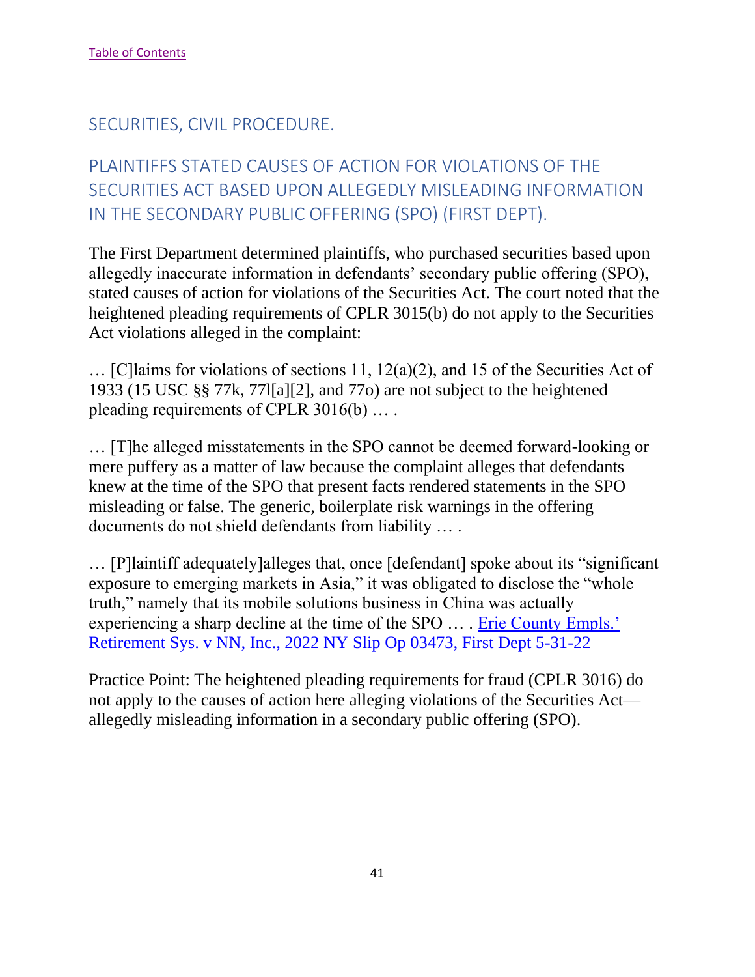## <span id="page-41-0"></span>SECURITIES, CIVIL PROCEDURE.

# <span id="page-41-1"></span>PLAINTIFFS STATED CAUSES OF ACTION FOR VIOLATIONS OF THE SECURITIES ACT BASED UPON ALLEGEDLY MISLEADING INFORMATION IN THE SECONDARY PUBLIC OFFERING (SPO) (FIRST DEPT).

The First Department determined plaintiffs, who purchased securities based upon allegedly inaccurate information in defendants' secondary public offering (SPO), stated causes of action for violations of the Securities Act. The court noted that the heightened pleading requirements of CPLR 3015(b) do not apply to the Securities Act violations alleged in the complaint:

… [C]laims for violations of sections 11, 12(a)(2), and 15 of the Securities Act of 1933 (15 USC §§ 77k, 77l[a][2], and 77o) are not subject to the heightened pleading requirements of CPLR 3016(b) … .

… [T]he alleged misstatements in the SPO cannot be deemed forward-looking or mere puffery as a matter of law because the complaint alleges that defendants knew at the time of the SPO that present facts rendered statements in the SPO misleading or false. The generic, boilerplate risk warnings in the offering documents do not shield defendants from liability … .

… [P]laintiff adequately]alleges that, once [defendant] spoke about its "significant exposure to emerging markets in Asia," it was obligated to disclose the "whole truth," namely that its mobile solutions business in China was actually experiencing a sharp decline at the time of the SPO … . [Erie County Empls.'](https://nycourts.gov/reporter/3dseries/2022/2022_03473.htm)  [Retirement Sys. v NN, Inc., 2022 NY Slip Op 03473, First Dept 5-31-22](https://nycourts.gov/reporter/3dseries/2022/2022_03473.htm)

Practice Point: The heightened pleading requirements for fraud (CPLR 3016) do not apply to the causes of action here alleging violations of the Securities Act allegedly misleading information in a secondary public offering (SPO).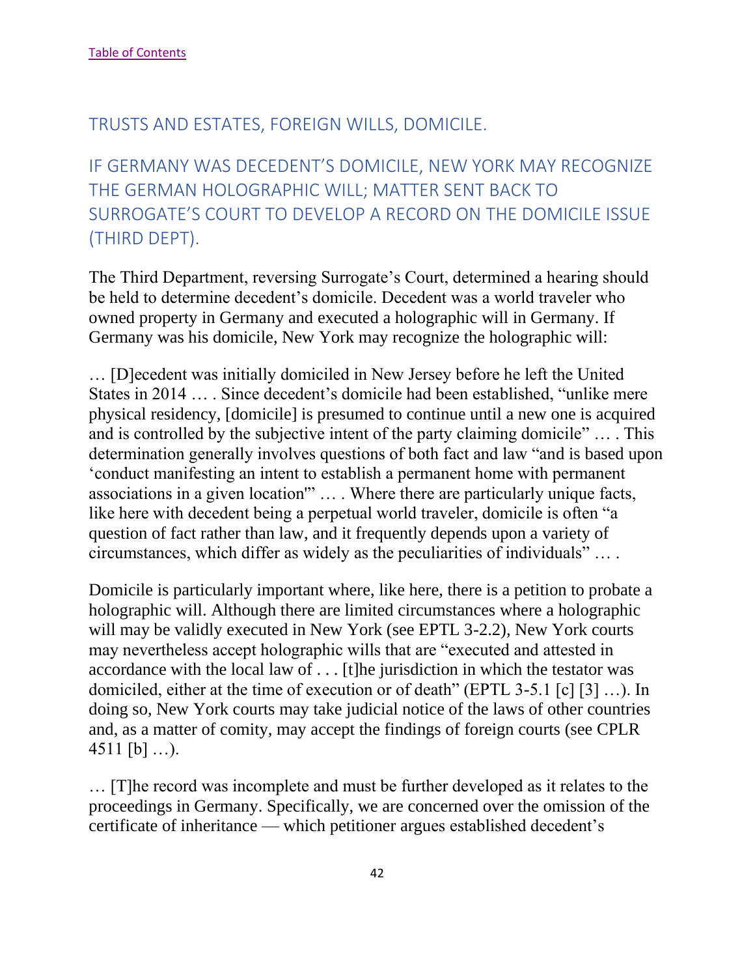## <span id="page-42-0"></span>TRUSTS AND ESTATES, FOREIGN WILLS, DOMICILE.

<span id="page-42-1"></span>IF GERMANY WAS DECEDENT'S DOMICILE, NEW YORK MAY RECOGNIZE THE GERMAN HOLOGRAPHIC WILL; MATTER SENT BACK TO SURROGATE'S COURT TO DEVELOP A RECORD ON THE DOMICILE ISSUE (THIRD DEPT).

The Third Department, reversing Surrogate's Court, determined a hearing should be held to determine decedent's domicile. Decedent was a world traveler who owned property in Germany and executed a holographic will in Germany. If Germany was his domicile, New York may recognize the holographic will:

… [D]ecedent was initially domiciled in New Jersey before he left the United States in 2014 … . Since decedent's domicile had been established, "unlike mere physical residency, [domicile] is presumed to continue until a new one is acquired and is controlled by the subjective intent of the party claiming domicile" … . This determination generally involves questions of both fact and law "and is based upon 'conduct manifesting an intent to establish a permanent home with permanent associations in a given location'" … . Where there are particularly unique facts, like here with decedent being a perpetual world traveler, domicile is often "a question of fact rather than law, and it frequently depends upon a variety of circumstances, which differ as widely as the peculiarities of individuals" … .

Domicile is particularly important where, like here, there is a petition to probate a holographic will. Although there are limited circumstances where a holographic will may be validly executed in New York (see EPTL 3-2.2), New York courts may nevertheless accept holographic wills that are "executed and attested in accordance with the local law of . . . [t]he jurisdiction in which the testator was domiciled, either at the time of execution or of death" (EPTL 3-5.1 [c] [3] …). In doing so, New York courts may take judicial notice of the laws of other countries and, as a matter of comity, may accept the findings of foreign courts (see CPLR 4511 [b] ...).

… [T]he record was incomplete and must be further developed as it relates to the proceedings in Germany. Specifically, we are concerned over the omission of the certificate of inheritance — which petitioner argues established decedent's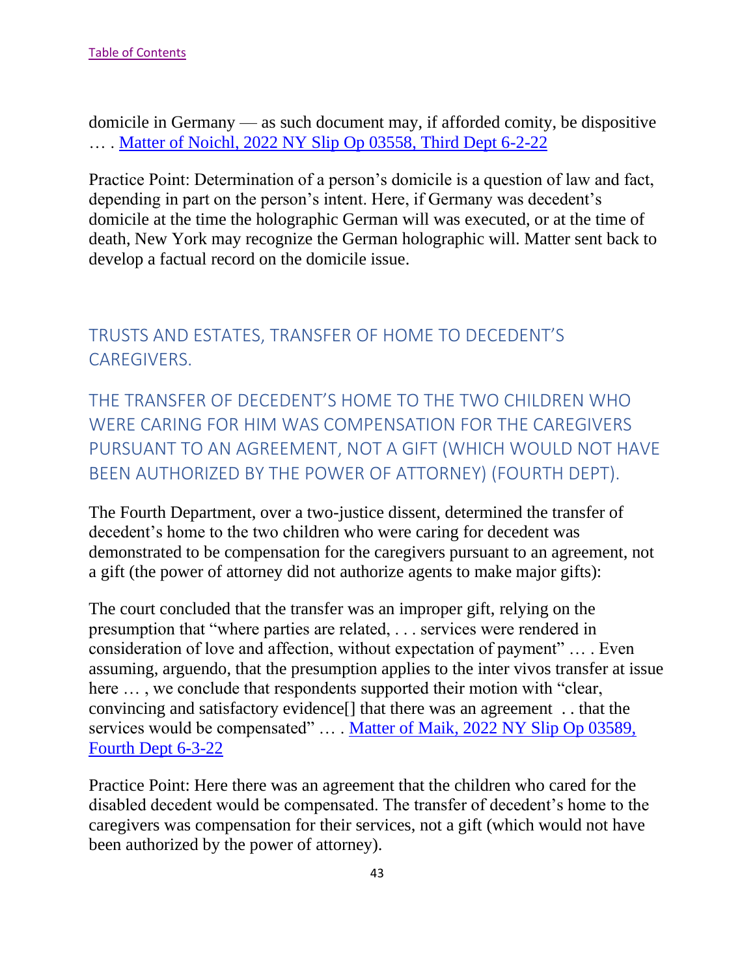domicile in Germany — as such document may, if afforded comity, be dispositive … . Matter of Noichl, 2022 NY Slip Op 03558, Third Dept 6-2-22

Practice Point: Determination of a person's domicile is a question of law and fact, depending in part on the person's intent. Here, if Germany was decedent's domicile at the time the holographic German will was executed, or at the time of death, New York may recognize the German holographic will. Matter sent back to develop a factual record on the domicile issue.

# <span id="page-43-0"></span>TRUSTS AND ESTATES, TRANSFER OF HOME TO DECEDENT'S CAREGIVERS.

<span id="page-43-1"></span>THE TRANSFER OF DECEDENT'S HOME TO THE TWO CHILDREN WHO WERE CARING FOR HIM WAS COMPENSATION FOR THE CAREGIVERS PURSUANT TO AN AGREEMENT, NOT A GIFT (WHICH WOULD NOT HAVE BEEN AUTHORIZED BY THE POWER OF ATTORNEY) (FOURTH DEPT).

The Fourth Department, over a two-justice dissent, determined the transfer of decedent's home to the two children who were caring for decedent was demonstrated to be compensation for the caregivers pursuant to an agreement, not a gift (the power of attorney did not authorize agents to make major gifts):

The court concluded that the transfer was an improper gift, relying on the presumption that "where parties are related, . . . services were rendered in consideration of love and affection, without expectation of payment" … . Even assuming, arguendo, that the presumption applies to the inter vivos transfer at issue here  $\dots$ , we conclude that respondents supported their motion with "clear, convincing and satisfactory evidence[] that there was an agreement . . that the services would be compensated" … . Matter of Maik, 2022 NY Slip Op 03589, Fourth Dept 6-3-22

Practice Point: Here there was an agreement that the children who cared for the disabled decedent would be compensated. The transfer of decedent's home to the caregivers was compensation for their services, not a gift (which would not have been authorized by the power of attorney).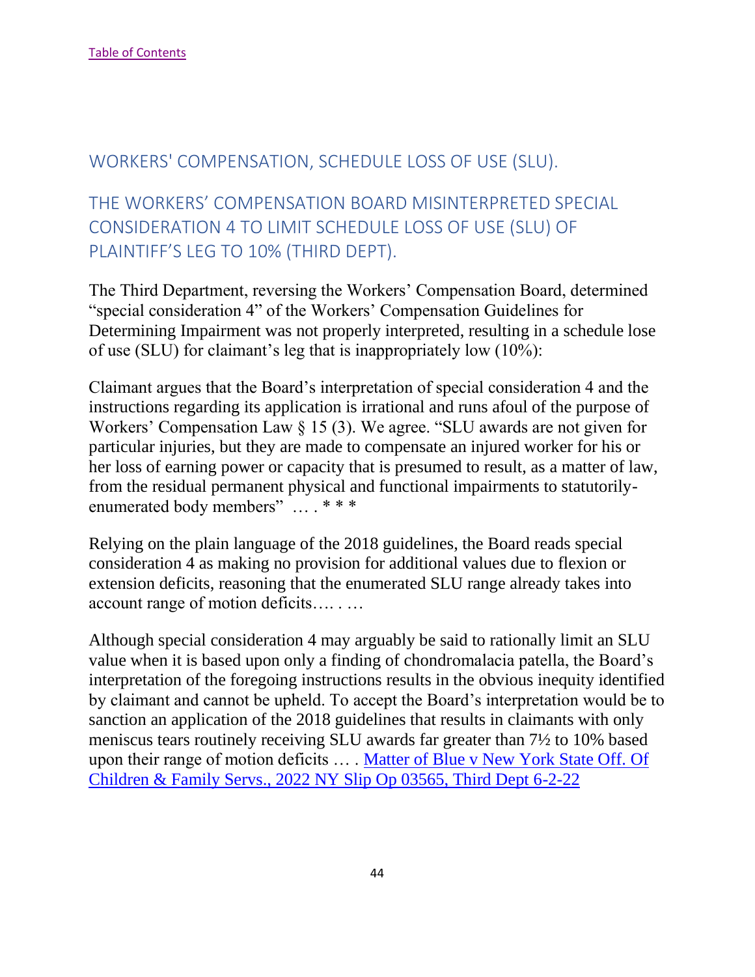## <span id="page-44-0"></span>WORKERS' COMPENSATION, SCHEDULE LOSS OF USE (SLU).

# <span id="page-44-1"></span>THE WORKERS' COMPENSATION BOARD MISINTERPRETED SPECIAL CONSIDERATION 4 TO LIMIT SCHEDULE LOSS OF USE (SLU) OF PLAINTIFF'S LEG TO 10% (THIRD DEPT).

The Third Department, reversing the Workers' Compensation Board, determined "special consideration 4" of the Workers' Compensation Guidelines for Determining Impairment was not properly interpreted, resulting in a schedule lose of use (SLU) for claimant's leg that is inappropriately low (10%):

Claimant argues that the Board's interpretation of special consideration 4 and the instructions regarding its application is irrational and runs afoul of the purpose of Workers' Compensation Law § 15 (3). We agree. "SLU awards are not given for particular injuries, but they are made to compensate an injured worker for his or her loss of earning power or capacity that is presumed to result, as a matter of law, from the residual permanent physical and functional impairments to statutorilyenumerated body members" … . \* \* \*

Relying on the plain language of the 2018 guidelines, the Board reads special consideration 4 as making no provision for additional values due to flexion or extension deficits, reasoning that the enumerated SLU range already takes into account range of motion deficits…. . …

Although special consideration 4 may arguably be said to rationally limit an SLU value when it is based upon only a finding of chondromalacia patella, the Board's interpretation of the foregoing instructions results in the obvious inequity identified by claimant and cannot be upheld. To accept the Board's interpretation would be to sanction an application of the 2018 guidelines that results in claimants with only meniscus tears routinely receiving SLU awards far greater than 7½ to 10% based upon their range of motion deficits … . Matter of Blue v New York State Off. Of Children & Family Servs., 2022 NY Slip Op 03565, Third Dept 6-2-22